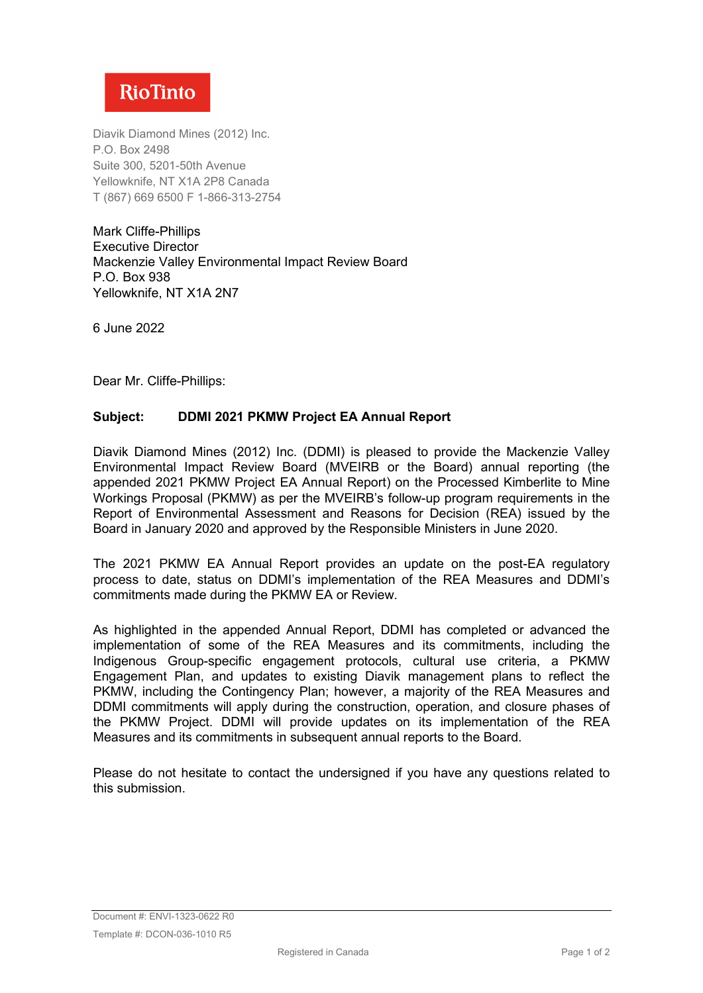

Diavik Diamond Mines (2012) Inc. P.O. Box 2498 Suite 300, 5201-50th Avenue Yellowknife, NT X1A 2P8 Canada T (867) 669 6500 F 1-866-313-2754

Mark Cliffe-Phillips Executive Director Mackenzie Valley Environmental Impact Review Board P.O. Box 938 Yellowknife, NT X1A 2N7

6 June 2022

Dear Mr. Cliffe-Phillips:

#### **Subject: DDMI 2021 PKMW Project EA Annual Report**

Diavik Diamond Mines (2012) Inc. (DDMI) is pleased to provide the Mackenzie Valley Environmental Impact Review Board (MVEIRB or the Board) annual reporting (the appended 2021 PKMW Project EA Annual Report) on the Processed Kimberlite to Mine Workings Proposal (PKMW) as per the MVEIRB's follow-up program requirements in the Report of Environmental Assessment and Reasons for Decision (REA) issued by the Board in January 2020 and approved by the Responsible Ministers in June 2020.

The 2021 PKMW EA Annual Report provides an update on the post-EA regulatory process to date, status on DDMI's implementation of the REA Measures and DDMI's commitments made during the PKMW EA or Review.

As highlighted in the appended Annual Report, DDMI has completed or advanced the implementation of some of the REA Measures and its commitments, including the Indigenous Group-specific engagement protocols, cultural use criteria, a PKMW Engagement Plan, and updates to existing Diavik management plans to reflect the PKMW, including the Contingency Plan; however, a majority of the REA Measures and DDMI commitments will apply during the construction, operation, and closure phases of the PKMW Project. DDMI will provide updates on its implementation of the REA Measures and its commitments in subsequent annual reports to the Board.

Please do not hesitate to contact the undersigned if you have any questions related to this submission.

Document #: ENVI-1323-0622 R0 Template #: DCON-036-1010 R5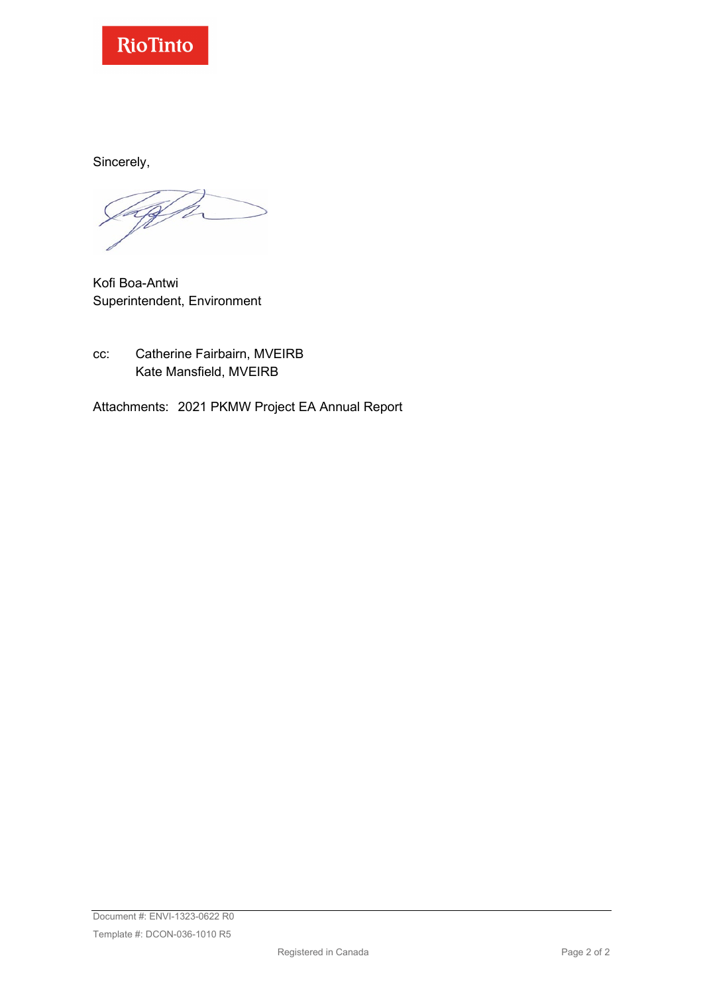

Sincerely,

Kofi Boa-Antwi Superintendent, Environment

cc: Catherine Fairbairn, MVEIRB Kate Mansfield, MVEIRB

Attachments: 2021 PKMW Project EA Annual Report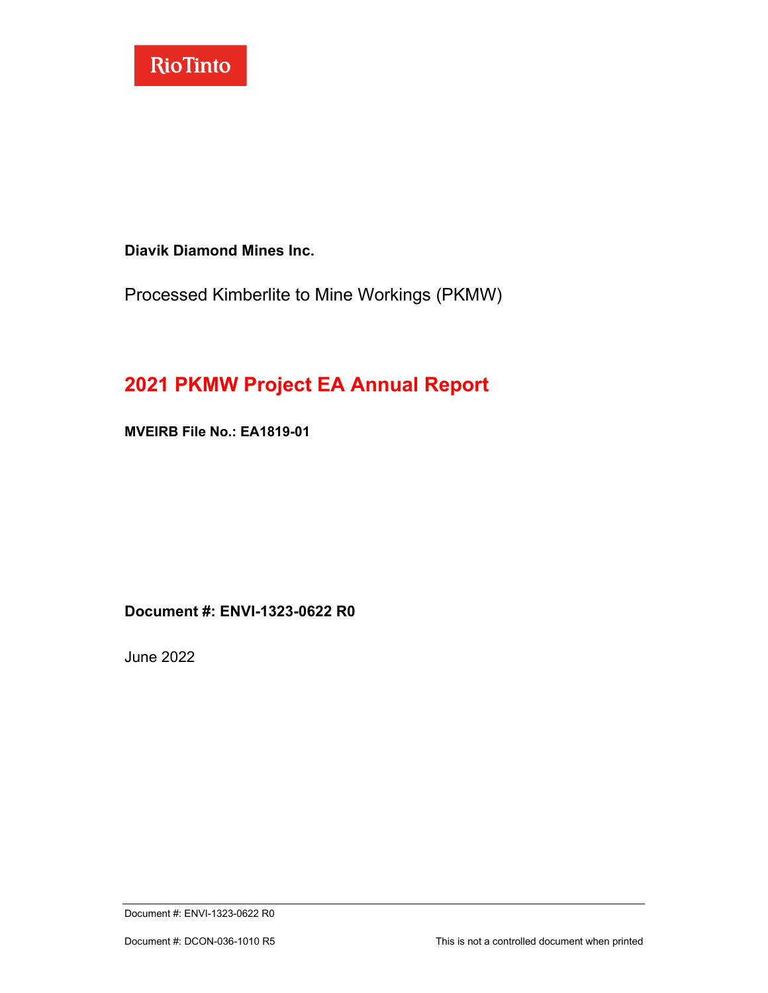

**Diavik Diamond Mines Inc.**

Processed Kimberlite to Mine Workings (PKMW)

# **2021 PKMW Project EA Annual Report**

**MVEIRB File No.: EA1819-01**

**Document #: ENVI-1323-0622 R0**

June 2022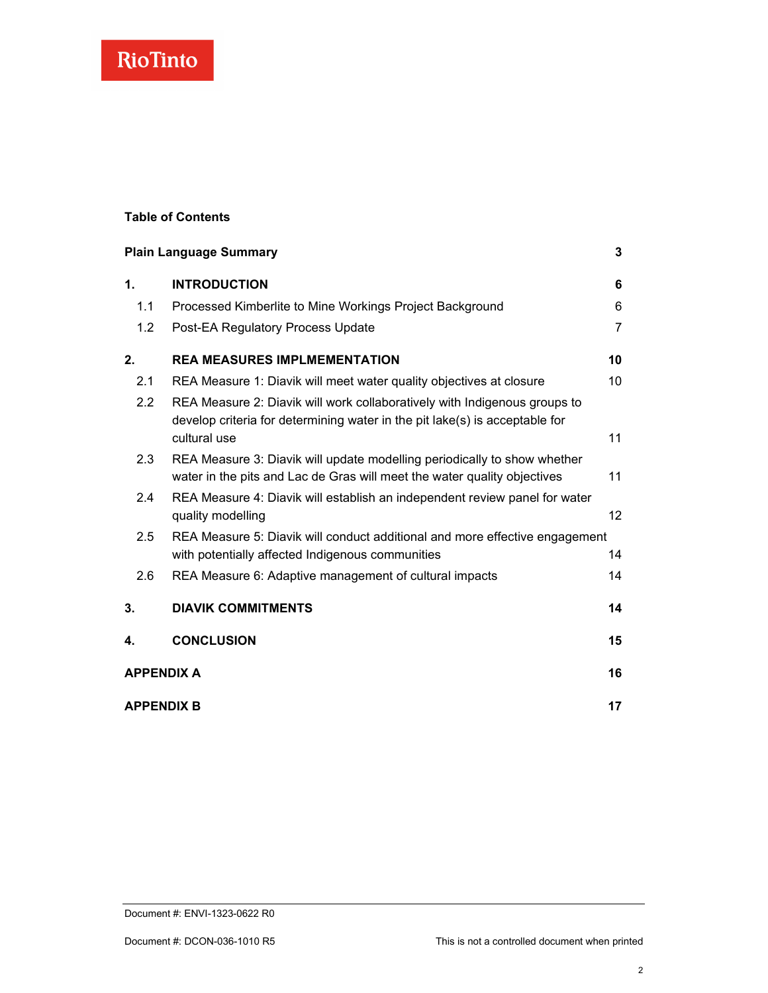#### **Table of Contents**

|                   | <b>Plain Language Summary</b>                                                                                                                                            | 3               |
|-------------------|--------------------------------------------------------------------------------------------------------------------------------------------------------------------------|-----------------|
| 1.                | <b>INTRODUCTION</b>                                                                                                                                                      | 6               |
| 1.1               | Processed Kimberlite to Mine Workings Project Background                                                                                                                 | 6               |
| 1.2               | Post-EA Regulatory Process Update                                                                                                                                        | $\overline{7}$  |
| 2.                | <b>REA MEASURES IMPLMEMENTATION</b>                                                                                                                                      | 10              |
| 2.1               | REA Measure 1: Diavik will meet water quality objectives at closure                                                                                                      | 10              |
| 2.2               | REA Measure 2: Diavik will work collaboratively with Indigenous groups to<br>develop criteria for determining water in the pit lake(s) is acceptable for<br>cultural use | 11              |
| 2.3               | REA Measure 3: Diavik will update modelling periodically to show whether<br>water in the pits and Lac de Gras will meet the water quality objectives                     | 11              |
| 2.4               | REA Measure 4: Diavik will establish an independent review panel for water<br>quality modelling                                                                          | 12 <sup>2</sup> |
| 2.5               | REA Measure 5: Diavik will conduct additional and more effective engagement<br>with potentially affected Indigenous communities                                          | 14              |
| 2.6               | REA Measure 6: Adaptive management of cultural impacts                                                                                                                   | 14              |
| 3.                | <b>DIAVIK COMMITMENTS</b>                                                                                                                                                | 14              |
| 4.                | <b>CONCLUSION</b>                                                                                                                                                        | 15              |
| <b>APPENDIX A</b> |                                                                                                                                                                          | 16              |
| <b>APPENDIX B</b> |                                                                                                                                                                          | 17              |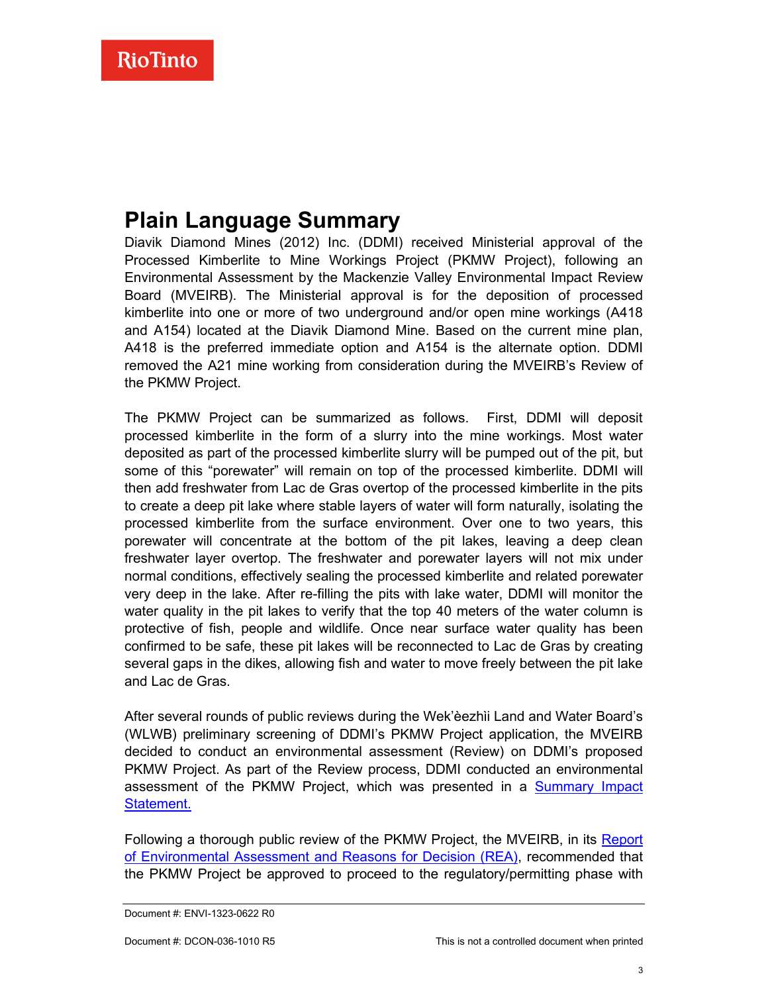# <span id="page-4-0"></span>**Plain Language Summary**

Diavik Diamond Mines (2012) Inc. (DDMI) received Ministerial approval of the Processed Kimberlite to Mine Workings Project (PKMW Project), following an Environmental Assessment by the Mackenzie Valley Environmental Impact Review Board (MVEIRB). The Ministerial approval is for the deposition of processed kimberlite into one or more of two underground and/or open mine workings (A418 and A154) located at the Diavik Diamond Mine. Based on the current mine plan, A418 is the preferred immediate option and A154 is the alternate option. DDMI removed the A21 mine working from consideration during the MVEIRB's Review of the PKMW Project.

The PKMW Project can be summarized as follows. First, DDMI will deposit processed kimberlite in the form of a slurry into the mine workings. Most water deposited as part of the processed kimberlite slurry will be pumped out of the pit, but some of this "porewater" will remain on top of the processed kimberlite. DDMI will then add freshwater from Lac de Gras overtop of the processed kimberlite in the pits to create a deep pit lake where stable layers of water will form naturally, isolating the processed kimberlite from the surface environment. Over one to two years, this porewater will concentrate at the bottom of the pit lakes, leaving a deep clean freshwater layer overtop. The freshwater and porewater layers will not mix under normal conditions, effectively sealing the processed kimberlite and related porewater very deep in the lake. After re-filling the pits with lake water, DDMI will monitor the water quality in the pit lakes to verify that the top 40 meters of the water column is protective of fish, people and wildlife. Once near surface water quality has been confirmed to be safe, these pit lakes will be reconnected to Lac de Gras by creating several gaps in the dikes, allowing fish and water to move freely between the pit lake and Lac de Gras.

After several rounds of public reviews during the Wek'èezhὶi Land and Water Board's (WLWB) preliminary screening of DDMI's PKMW Project application, the MVEIRB decided to conduct an environmental assessment (Review) on DDMI's proposed PKMW Project. As part of the Review process, DDMI conducted an environmental assessment of the PKMW Project, which was presented in a [Summary Impact](https://reviewboard.ca/upload/project_document/ENVI-968-0519%20R0%20DDMI%20Cvr%20Ltr%20and%20Summary%20Impact%20Statement.pdf)  [Statement.](https://reviewboard.ca/upload/project_document/ENVI-968-0519%20R0%20DDMI%20Cvr%20Ltr%20and%20Summary%20Impact%20Statement.pdf)

Following a thorough public review of the PKMW Project, the MVEIRB, in its [Report](https://reviewboard.ca/upload/project_document/EA1819-01%20Diavik%20Report%20of%20Environmental%20Assessment_FINAL%20%281%29.pdf)  [of Environmental Assessment and Reasons for Decision \(REA\),](https://reviewboard.ca/upload/project_document/EA1819-01%20Diavik%20Report%20of%20Environmental%20Assessment_FINAL%20%281%29.pdf) recommended that the PKMW Project be approved to proceed to the regulatory/permitting phase with

Document #: ENVI-1323-0622 R0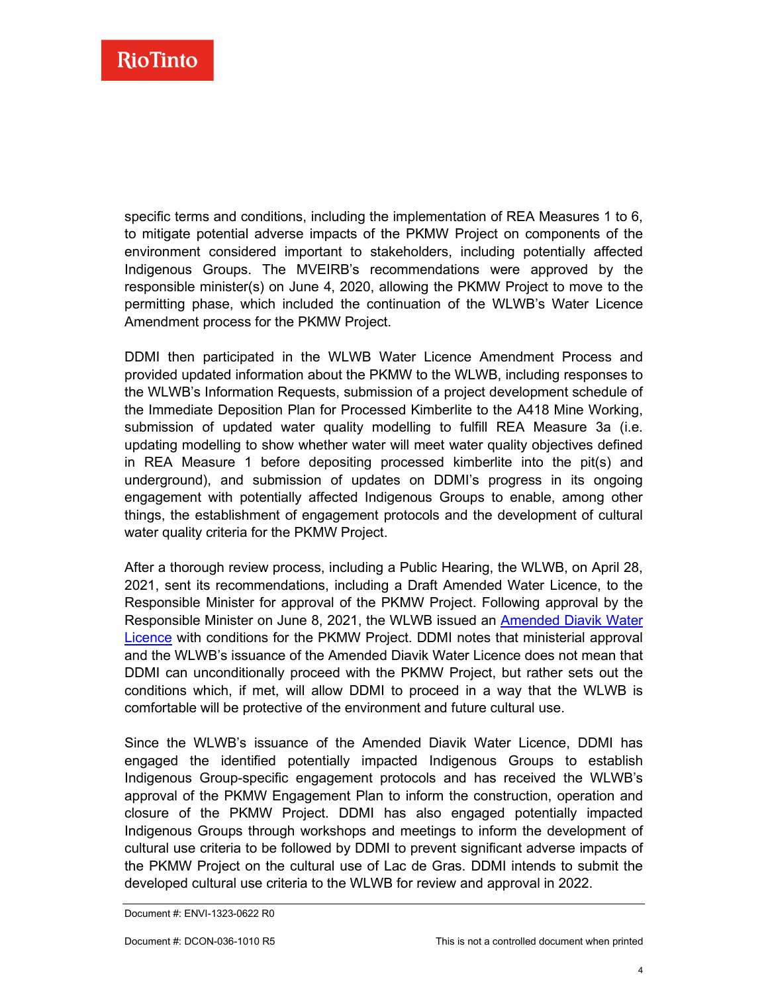specific terms and conditions, including the implementation of REA Measures 1 to 6, to mitigate potential adverse impacts of the PKMW Project on components of the environment considered important to stakeholders, including potentially affected Indigenous Groups. The MVEIRB's recommendations were approved by the responsible minister(s) on June 4, 2020, allowing the PKMW Project to move to the permitting phase, which included the continuation of the WLWB's Water Licence Amendment process for the PKMW Project.

DDMI then participated in the WLWB Water Licence Amendment Process and provided updated information about the PKMW to the WLWB, including responses to the WLWB's Information Requests, submission of a project development schedule of the Immediate Deposition Plan for Processed Kimberlite to the A418 Mine Working, submission of updated water quality modelling to fulfill REA Measure 3a (i.e. updating modelling to show whether water will meet water quality objectives defined in REA Measure 1 before depositing processed kimberlite into the pit(s) and underground), and submission of updates on DDMI's progress in its ongoing engagement with potentially affected Indigenous Groups to enable, among other things, the establishment of engagement protocols and the development of cultural water quality criteria for the PKMW Project.

After a thorough review process, including a Public Hearing, the WLWB, on April 28, 2021, sent its recommendations, including a Draft Amended Water Licence, to the Responsible Minister for approval of the PKMW Project. Following approval by the Responsible Minister on June 8, 2021, the WLWB issued an [Amended Diavik Water](https://registry.mvlwb.ca/Documents/W2015L2-0001/Diavik%20-%20WL%20Amendment%20-%20PKMW%20-%20Updated%20Licence%20-%20Jun%208_21.pdf)  [Licence](https://registry.mvlwb.ca/Documents/W2015L2-0001/Diavik%20-%20WL%20Amendment%20-%20PKMW%20-%20Updated%20Licence%20-%20Jun%208_21.pdf) with conditions for the PKMW Project. DDMI notes that ministerial approval and the WLWB's issuance of the Amended Diavik Water Licence does not mean that DDMI can unconditionally proceed with the PKMW Project, but rather sets out the conditions which, if met, will allow DDMI to proceed in a way that the WLWB is comfortable will be protective of the environment and future cultural use.

Since the WLWB's issuance of the Amended Diavik Water Licence, DDMI has engaged the identified potentially impacted Indigenous Groups to establish Indigenous Group-specific engagement protocols and has received the WLWB's approval of the PKMW Engagement Plan to inform the construction, operation and closure of the PKMW Project. DDMI has also engaged potentially impacted Indigenous Groups through workshops and meetings to inform the development of cultural use criteria to be followed by DDMI to prevent significant adverse impacts of the PKMW Project on the cultural use of Lac de Gras. DDMI intends to submit the developed cultural use criteria to the WLWB for review and approval in 2022.

Document #: ENVI-1323-0622 R0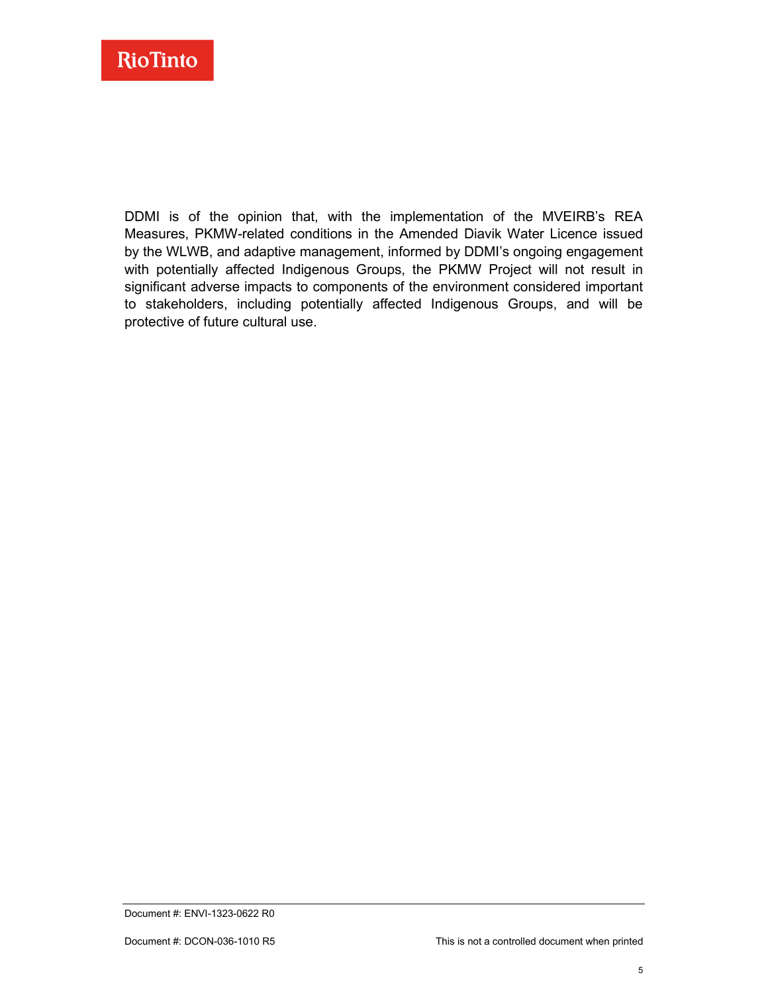

DDMI is of the opinion that, with the implementation of the MVEIRB's REA Measures, PKMW-related conditions in the Amended Diavik Water Licence issued by the WLWB, and adaptive management, informed by DDMI's ongoing engagement with potentially affected Indigenous Groups, the PKMW Project will not result in significant adverse impacts to components of the environment considered important to stakeholders, including potentially affected Indigenous Groups, and will be protective of future cultural use.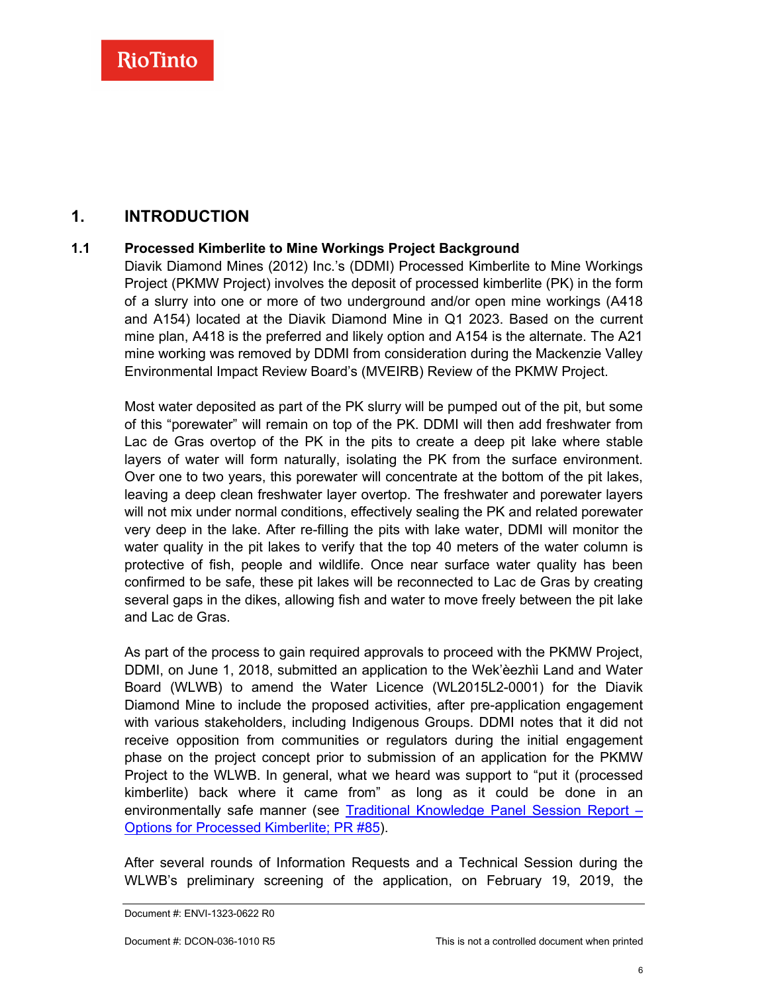### <span id="page-7-0"></span>**1. INTRODUCTION**

#### **1.1 Processed Kimberlite to Mine Workings Project Background**

<span id="page-7-1"></span>Diavik Diamond Mines (2012) Inc.'s (DDMI) Processed Kimberlite to Mine Workings Project (PKMW Project) involves the deposit of processed kimberlite (PK) in the form of a slurry into one or more of two underground and/or open mine workings (A418 and A154) located at the Diavik Diamond Mine in Q1 2023. Based on the current mine plan, A418 is the preferred and likely option and A154 is the alternate. The A21 mine working was removed by DDMI from consideration during the Mackenzie Valley Environmental Impact Review Board's (MVEIRB) Review of the PKMW Project.

Most water deposited as part of the PK slurry will be pumped out of the pit, but some of this "porewater" will remain on top of the PK. DDMI will then add freshwater from Lac de Gras overtop of the PK in the pits to create a deep pit lake where stable layers of water will form naturally, isolating the PK from the surface environment. Over one to two years, this porewater will concentrate at the bottom of the pit lakes, leaving a deep clean freshwater layer overtop. The freshwater and porewater layers will not mix under normal conditions, effectively sealing the PK and related porewater very deep in the lake. After re-filling the pits with lake water, DDMI will monitor the water quality in the pit lakes to verify that the top 40 meters of the water column is protective of fish, people and wildlife. Once near surface water quality has been confirmed to be safe, these pit lakes will be reconnected to Lac de Gras by creating several gaps in the dikes, allowing fish and water to move freely between the pit lake and Lac de Gras.

As part of the process to gain required approvals to proceed with the PKMW Project, DDMI, on June 1, 2018, submitted an application to the Wek'èezhὶi Land and Water Board (WLWB) to amend the Water Licence (WL2015L2-0001) for the Diavik Diamond Mine to include the proposed activities, after pre-application engagement with various stakeholders, including Indigenous Groups. DDMI notes that it did not receive opposition from communities or regulators during the initial engagement phase on the project concept prior to submission of an application for the PKMW Project to the WLWB. In general, what we heard was support to "put it (processed kimberlite) back where it came from" as long as it could be done in an environmentally safe manner (see [Traditional Knowledge Panel Session Report –](https://reviewboard.ca/upload/project_document/ORS%20Files%2021%20Part%202%20-%2023%20w%20index.pdf)  [Options for Processed Kimberlite; PR #85\)](https://reviewboard.ca/upload/project_document/ORS%20Files%2021%20Part%202%20-%2023%20w%20index.pdf).

After several rounds of Information Requests and a Technical Session during the WLWB's preliminary screening of the application, on February 19, 2019, the

Document #: ENVI-1323-0622 R0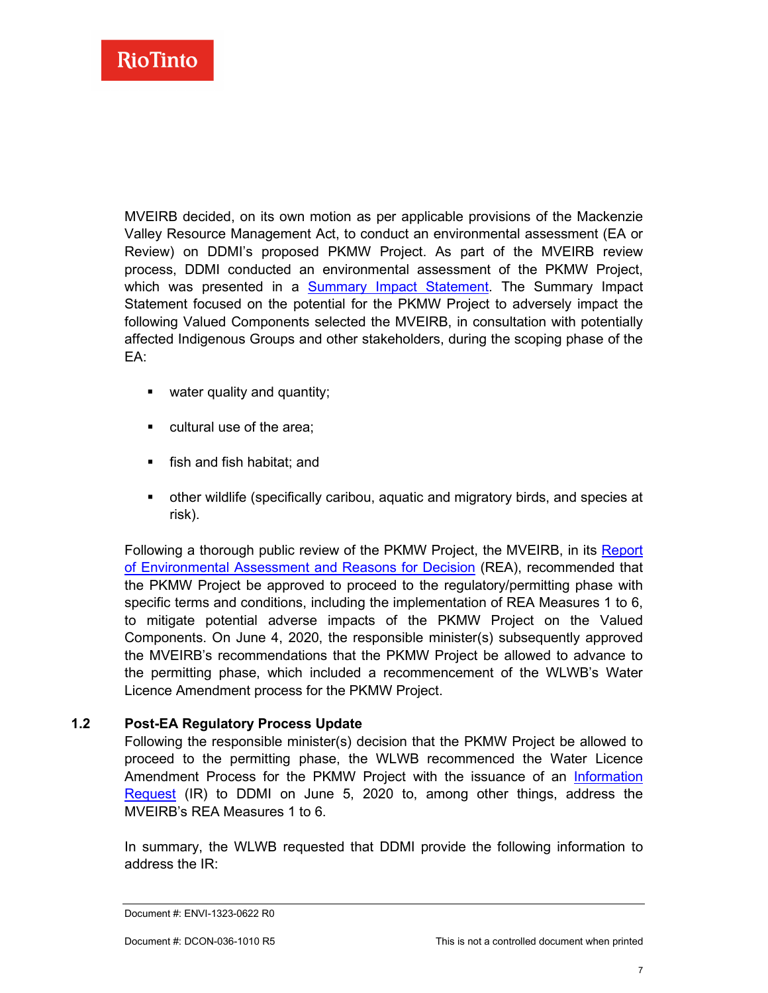MVEIRB decided, on its own motion as per applicable provisions of the Mackenzie Valley Resource Management Act, to conduct an environmental assessment (EA or Review) on DDMI's proposed PKMW Project. As part of the MVEIRB review process, DDMI conducted an environmental assessment of the PKMW Project, which was presented in a [Summary Impact Statement.](https://reviewboard.ca/upload/project_document/ENVI-968-0519%20R0%20DDMI%20Cvr%20Ltr%20and%20Summary%20Impact%20Statement.pdf) The Summary Impact Statement focused on the potential for the PKMW Project to adversely impact the following Valued Components selected the MVEIRB, in consultation with potentially affected Indigenous Groups and other stakeholders, during the scoping phase of the  $FA$ 

- **•** water quality and quantity;
- **•** cultural use of the area:
- **fish and fish habitat; and**
- other wildlife (specifically caribou, aquatic and migratory birds, and species at risk).

Following a thorough public review of the PKMW Project, the MVEIRB, in its [Report](https://reviewboard.ca/upload/project_document/EA1819-01%20Diavik%20Report%20of%20Environmental%20Assessment_FINAL%20%281%29.pdf)  [of Environmental Assessment and Reasons for Decision](https://reviewboard.ca/upload/project_document/EA1819-01%20Diavik%20Report%20of%20Environmental%20Assessment_FINAL%20%281%29.pdf) (REA), recommended that the PKMW Project be approved to proceed to the regulatory/permitting phase with specific terms and conditions, including the implementation of REA Measures 1 to 6, to mitigate potential adverse impacts of the PKMW Project on the Valued Components. On June 4, 2020, the responsible minister(s) subsequently approved the MVEIRB's recommendations that the PKMW Project be allowed to advance to the permitting phase, which included a recommencement of the WLWB's Water Licence Amendment process for the PKMW Project.

#### **1.2 Post-EA Regulatory Process Update**

<span id="page-8-0"></span>Following the responsible minister(s) decision that the PKMW Project be allowed to proceed to the permitting phase, the WLWB recommenced the Water Licence Amendment Process for the PKMW Project with the issuance of an [Information](http://registry.mvlwb.ca/Documents/W2015L2-0001/Diavik%20-%20WL%20Amendment%20-%20PKMW%20-%20WLWB%20Letter%20to%20DDMI%20-%20Information%20Request%20-%20Jun%205_20.pdf)  [Request](http://registry.mvlwb.ca/Documents/W2015L2-0001/Diavik%20-%20WL%20Amendment%20-%20PKMW%20-%20WLWB%20Letter%20to%20DDMI%20-%20Information%20Request%20-%20Jun%205_20.pdf) (IR) to DDMI on June 5, 2020 to, among other things, address the MVEIRB's REA Measures 1 to 6.

In summary, the WLWB requested that DDMI provide the following information to address the IR:

Document #: ENVI-1323-0622 R0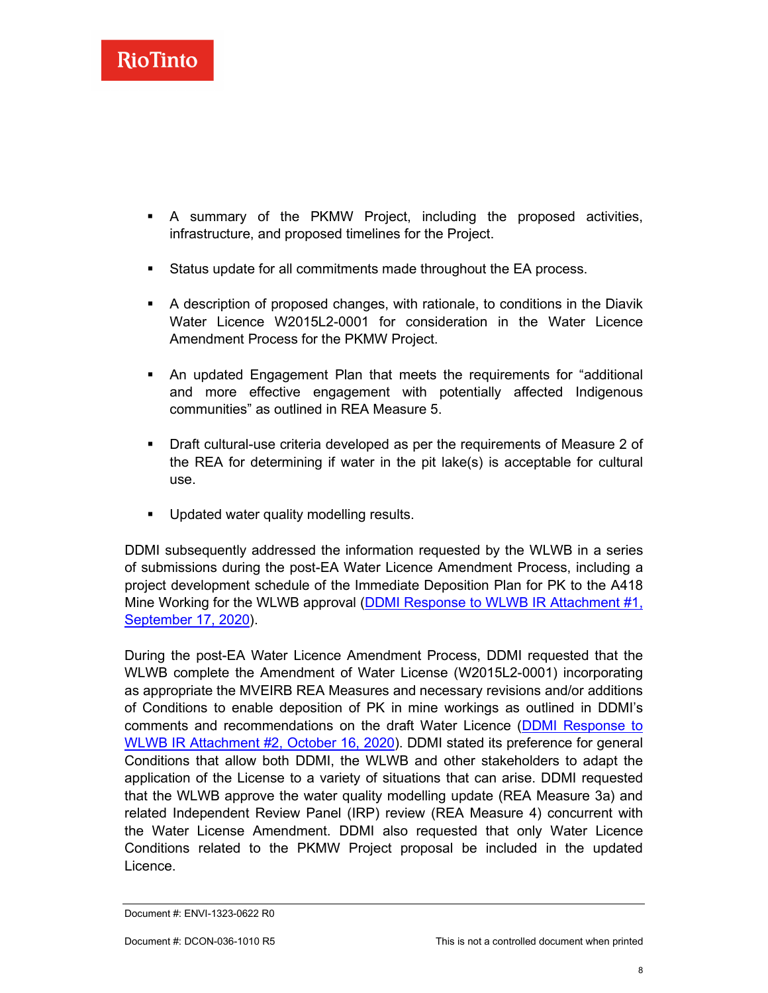

- A summary of the PKMW Project, including the proposed activities, infrastructure, and proposed timelines for the Project.
- Status update for all commitments made throughout the EA process.
- A description of proposed changes, with rationale, to conditions in the Diavik Water Licence W2015L2-0001 for consideration in the Water Licence Amendment Process for the PKMW Project.
- An updated Engagement Plan that meets the requirements for "additional and more effective engagement with potentially affected Indigenous communities" as outlined in REA Measure 5.
- Draft cultural-use criteria developed as per the requirements of Measure 2 of the REA for determining if water in the pit lake(s) is acceptable for cultural use.
- **Updated water quality modelling results.**

DDMI subsequently addressed the information requested by the WLWB in a series of submissions during the post-EA Water Licence Amendment Process, including a project development schedule of the Immediate Deposition Plan for PK to the A418 Mine Working for the WLWB approval (DDMI Response to WLWB IR Attachment #1, [September 17, 2020\)](http://registry.mvlwb.ca/Documents/W2015L2-0001/Diavik%20-%20WL%20Amendment%20-%20PKMW%20-%20Information%20Request%20-%20DDMI%20Response%20Part%201%20-%20Sep%2017_20.pdf).

During the post-EA Water Licence Amendment Process, DDMI requested that the WLWB complete the Amendment of Water License (W2015L2-0001) incorporating as appropriate the MVEIRB REA Measures and necessary revisions and/or additions of Conditions to enable deposition of PK in mine workings as outlined in DDMI's comments and recommendations on the draft Water Licence [\(DDMI Response to](http://registry.mvlwb.ca/Documents/W2015L2-0001/Diavik%20-%20WL%20Amendment%20-%20PKMW%20-%20Information%20Request%20-%20DDMI%20Response%20Part%202%20-%20Oct%2016_20.pdf)  [WLWB IR Attachment #2, October 16, 2020\)](http://registry.mvlwb.ca/Documents/W2015L2-0001/Diavik%20-%20WL%20Amendment%20-%20PKMW%20-%20Information%20Request%20-%20DDMI%20Response%20Part%202%20-%20Oct%2016_20.pdf). DDMI stated its preference for general Conditions that allow both DDMI, the WLWB and other stakeholders to adapt the application of the License to a variety of situations that can arise. DDMI requested that the WLWB approve the water quality modelling update (REA Measure 3a) and related Independent Review Panel (IRP) review (REA Measure 4) concurrent with the Water License Amendment. DDMI also requested that only Water Licence Conditions related to the PKMW Project proposal be included in the updated Licence.

Document #: ENVI-1323-0622 R0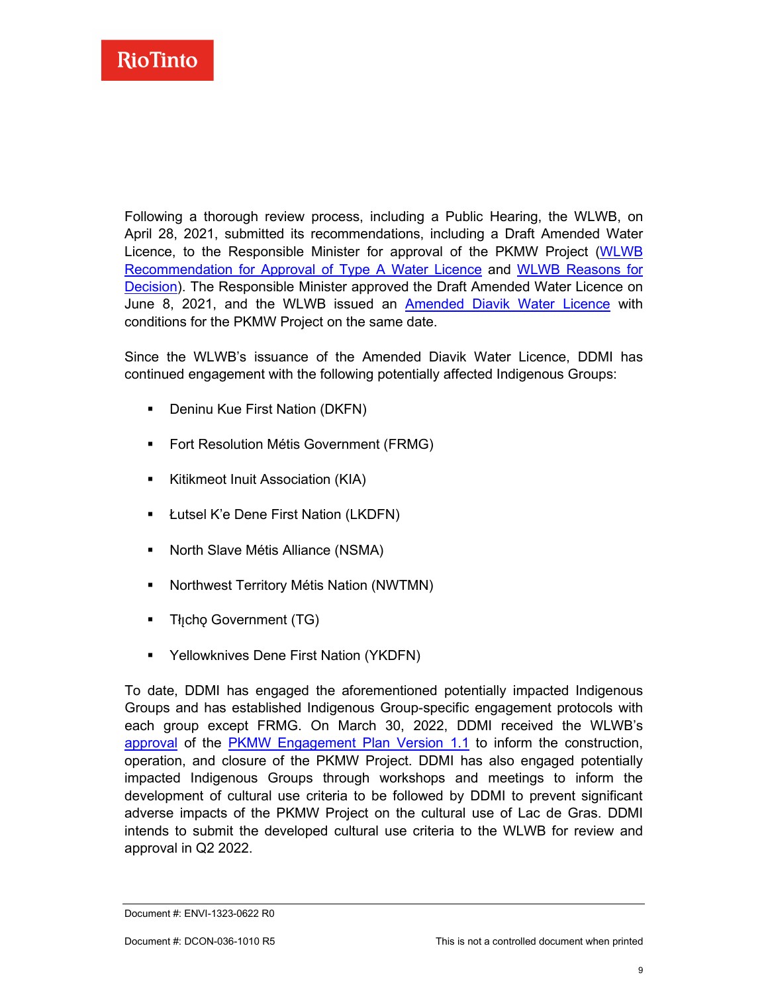

Following a thorough review process, including a Public Hearing, the WLWB, on April 28, 2021, submitted its recommendations, including a Draft Amended Water Licence, to the Responsible Minister for approval of the PKMW Project [\(WLWB](http://registry.mvlwb.ca/Documents/W2015L2-0001/Diavik%20-%20WL%20Amendment%20-%20PKMW%20-%20Recommendation%20for%20Approval%20-%20Apr%2028_21.pdf)  [Recommendation for Approval of Type A Water Licence](http://registry.mvlwb.ca/Documents/W2015L2-0001/Diavik%20-%20WL%20Amendment%20-%20PKMW%20-%20Recommendation%20for%20Approval%20-%20Apr%2028_21.pdf) and [WLWB Reasons for](http://registry.mvlwb.ca/Documents/W2015L2-0001/Diavik%20-%20WL%20Amendment%20-%20PKMW%20-%20Reasons%20for%20Decision%20-%20Apr%2028_21.pdf)  [Decision\)](http://registry.mvlwb.ca/Documents/W2015L2-0001/Diavik%20-%20WL%20Amendment%20-%20PKMW%20-%20Reasons%20for%20Decision%20-%20Apr%2028_21.pdf). The Responsible Minister approved the Draft Amended Water Licence on June 8, 2021, and the WLWB issued an [Amended Diavik Water Licence](https://registry.mvlwb.ca/Documents/W2015L2-0001/Diavik%20-%20WL%20Amendment%20-%20PKMW%20-%20Updated%20Licence%20-%20Jun%208_21.pdf) with conditions for the PKMW Project on the same date.

Since the WLWB's issuance of the Amended Diavik Water Licence, DDMI has continued engagement with the following potentially affected Indigenous Groups:

- **•** Deninu Kue First Nation (DKFN)
- **Fort Resolution Métis Government (FRMG)**
- **Kitikmeot Inuit Association (KIA)**
- **E** Łutsel K'e Dene First Nation (LKDFN)
- North Slave Métis Alliance (NSMA)
- **Northwest Territory Métis Nation (NWTMN)**
- Tłicho Government (TG)
- Yellowknives Dene First Nation (YKDFN)

To date, DDMI has engaged the aforementioned potentially impacted Indigenous Groups and has established Indigenous Group-specific engagement protocols with each group except FRMG. On March 30, 2022, DDMI received the WLWB's [approval](https://registry.mvlwb.ca/Documents/W2015L2-0001/Diavik%20-%20PKMW%20Engagement%20Plan%20-%20Version%201.1%20-%20Decision%20Letter%20-%20Mar%2030_22.pdf) of the [PKMW Engagement Plan](https://registry.mvlwb.ca/Documents/W2015L2-0001/Diavik%20-%20PKMW%20Engagement%20Plan%20-%20Version%201.1%20-%20Feb%2018_22.pdf) Version 1.1 to inform the construction, operation, and closure of the PKMW Project. DDMI has also engaged potentially impacted Indigenous Groups through workshops and meetings to inform the development of cultural use criteria to be followed by DDMI to prevent significant adverse impacts of the PKMW Project on the cultural use of Lac de Gras. DDMI intends to submit the developed cultural use criteria to the WLWB for review and approval in Q2 2022.

Document #: ENVI-1323-0622 R0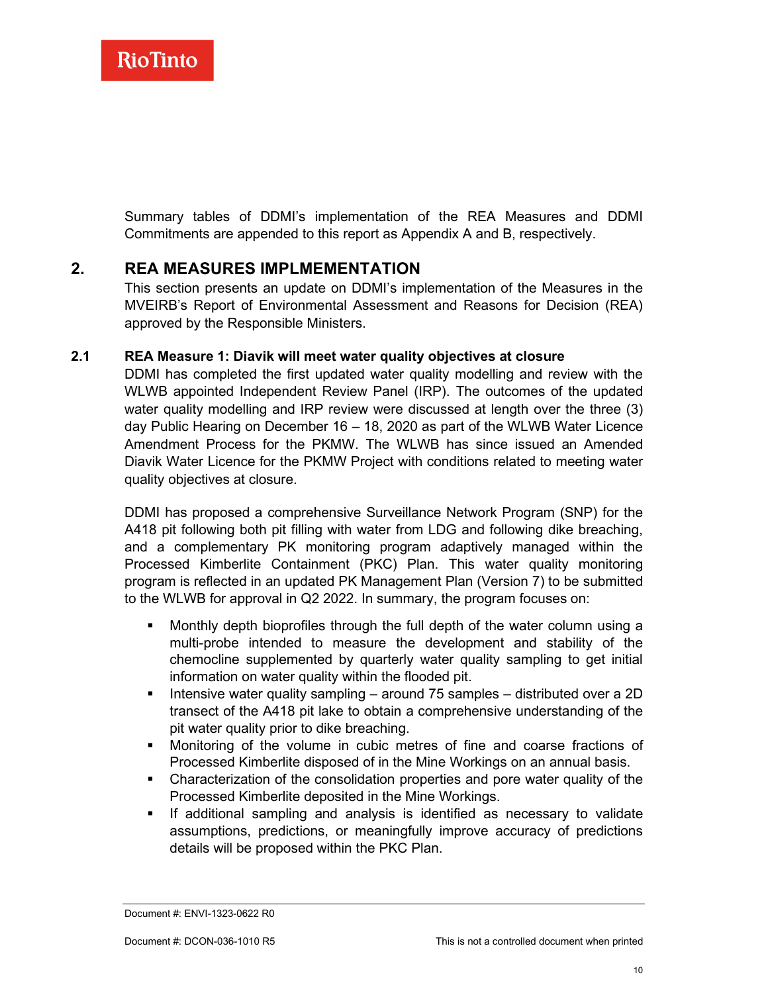Summary tables of DDMI's implementation of the REA Measures and DDMI Commitments are appended to this report as Appendix A and B, respectively.

### **2. REA MEASURES IMPLMEMENTATION**

<span id="page-11-0"></span>This section presents an update on DDMI's implementation of the Measures in the MVEIRB's Report of Environmental Assessment and Reasons for Decision (REA) approved by the Responsible Ministers.

#### **2.1 REA Measure 1: Diavik will meet water quality objectives at closure**

<span id="page-11-1"></span>DDMI has completed the first updated water quality modelling and review with the WLWB appointed Independent Review Panel (IRP). The outcomes of the updated water quality modelling and IRP review were discussed at length over the three (3) day Public Hearing on December 16 – 18, 2020 as part of the WLWB Water Licence Amendment Process for the PKMW. The WLWB has since issued an Amended Diavik Water Licence for the PKMW Project with conditions related to meeting water quality objectives at closure.

DDMI has proposed a comprehensive Surveillance Network Program (SNP) for the A418 pit following both pit filling with water from LDG and following dike breaching, and a complementary PK monitoring program adaptively managed within the Processed Kimberlite Containment (PKC) Plan. This water quality monitoring program is reflected in an updated PK Management Plan (Version 7) to be submitted to the WLWB for approval in Q2 2022. In summary, the program focuses on:

- Monthly depth bioprofiles through the full depth of the water column using a multi-probe intended to measure the development and stability of the chemocline supplemented by quarterly water quality sampling to get initial information on water quality within the flooded pit.
- **Intensive water quality sampling around 75 samples distributed over a 2D** transect of the A418 pit lake to obtain a comprehensive understanding of the pit water quality prior to dike breaching.
- Monitoring of the volume in cubic metres of fine and coarse fractions of Processed Kimberlite disposed of in the Mine Workings on an annual basis.
- Characterization of the consolidation properties and pore water quality of the Processed Kimberlite deposited in the Mine Workings.
- If additional sampling and analysis is identified as necessary to validate assumptions, predictions, or meaningfully improve accuracy of predictions details will be proposed within the PKC Plan.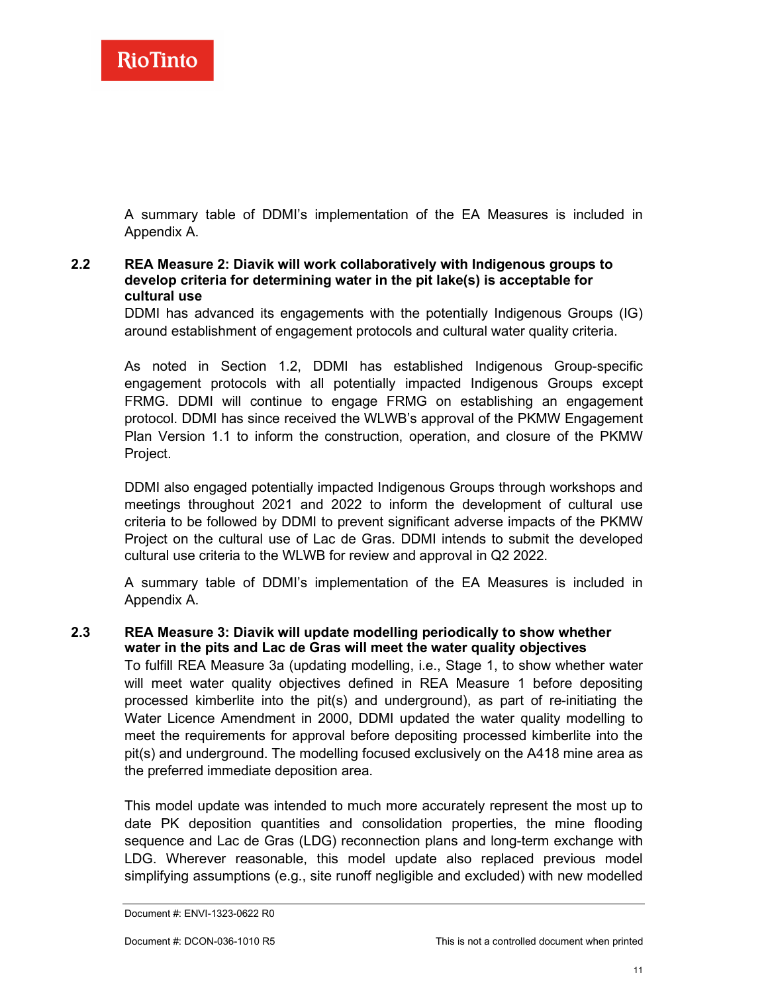<span id="page-12-0"></span>A summary table of DDMI's implementation of the EA Measures is included in Appendix A.

#### **2.2 REA Measure 2: Diavik will work collaboratively with Indigenous groups to develop criteria for determining water in the pit lake(s) is acceptable for cultural use**

DDMI has advanced its engagements with the potentially Indigenous Groups (IG) around establishment of engagement protocols and cultural water quality criteria.

As noted in Section 1.2, DDMI has established Indigenous Group-specific engagement protocols with all potentially impacted Indigenous Groups except FRMG. DDMI will continue to engage FRMG on establishing an engagement protocol. DDMI has since received the WLWB's approval of the PKMW Engagement Plan Version 1.1 to inform the construction, operation, and closure of the PKMW Project.

DDMI also engaged potentially impacted Indigenous Groups through workshops and meetings throughout 2021 and 2022 to inform the development of cultural use criteria to be followed by DDMI to prevent significant adverse impacts of the PKMW Project on the cultural use of Lac de Gras. DDMI intends to submit the developed cultural use criteria to the WLWB for review and approval in Q2 2022.

<span id="page-12-1"></span>A summary table of DDMI's implementation of the EA Measures is included in Appendix A.

**2.3 REA Measure 3: Diavik will update modelling periodically to show whether water in the pits and Lac de Gras will meet the water quality objectives** To fulfill REA Measure 3a (updating modelling, i.e., Stage 1, to show whether water will meet water quality objectives defined in REA Measure 1 before depositing processed kimberlite into the pit(s) and underground), as part of re-initiating the Water Licence Amendment in 2000, DDMI updated the water quality modelling to meet the requirements for approval before depositing processed kimberlite into the pit(s) and underground. The modelling focused exclusively on the A418 mine area as the preferred immediate deposition area.

This model update was intended to much more accurately represent the most up to date PK deposition quantities and consolidation properties, the mine flooding sequence and Lac de Gras (LDG) reconnection plans and long-term exchange with LDG. Wherever reasonable, this model update also replaced previous model simplifying assumptions (e.g., site runoff negligible and excluded) with new modelled

Document #: ENVI-1323-0622 R0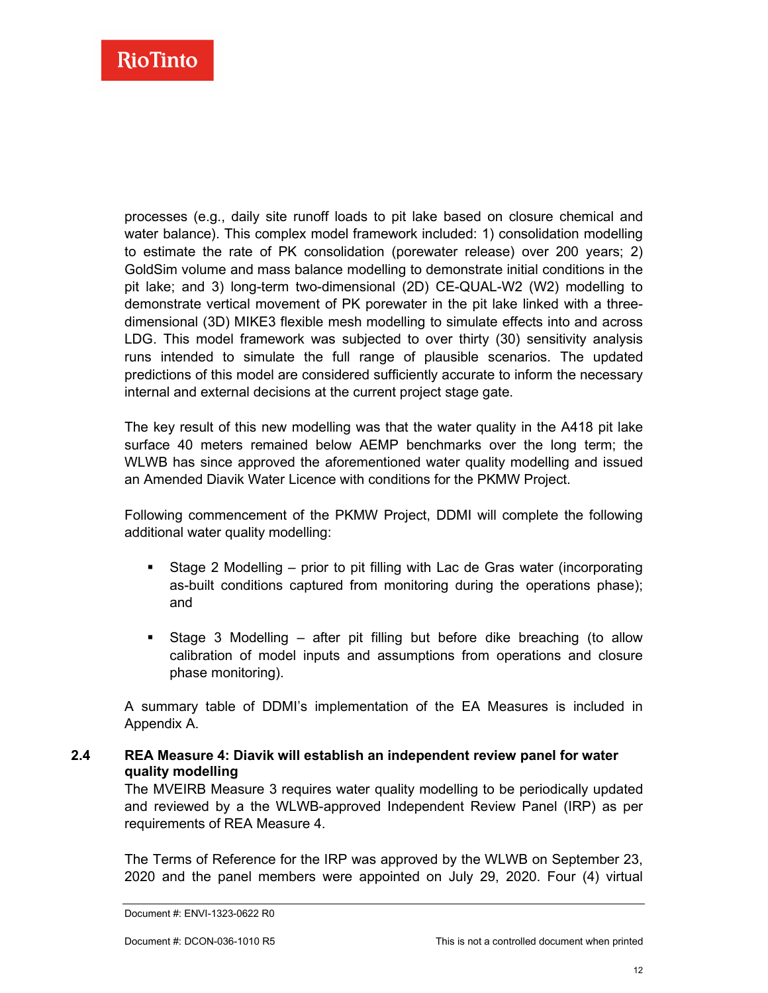processes (e.g., daily site runoff loads to pit lake based on closure chemical and water balance). This complex model framework included: 1) consolidation modelling to estimate the rate of PK consolidation (porewater release) over 200 years; 2) GoldSim volume and mass balance modelling to demonstrate initial conditions in the pit lake; and 3) long-term two-dimensional (2D) CE-QUAL-W2 (W2) modelling to demonstrate vertical movement of PK porewater in the pit lake linked with a threedimensional (3D) MIKE3 flexible mesh modelling to simulate effects into and across LDG. This model framework was subjected to over thirty (30) sensitivity analysis runs intended to simulate the full range of plausible scenarios. The updated predictions of this model are considered sufficiently accurate to inform the necessary internal and external decisions at the current project stage gate.

The key result of this new modelling was that the water quality in the A418 pit lake surface 40 meters remained below AEMP benchmarks over the long term; the WLWB has since approved the aforementioned water quality modelling and issued an Amended Diavik Water Licence with conditions for the PKMW Project.

Following commencement of the PKMW Project, DDMI will complete the following additional water quality modelling:

- Stage 2 Modelling prior to pit filling with Lac de Gras water (incorporating as-built conditions captured from monitoring during the operations phase); and
- Stage 3 Modelling after pit filling but before dike breaching (to allow calibration of model inputs and assumptions from operations and closure phase monitoring).

A summary table of DDMI's implementation of the EA Measures is included in Appendix A.

#### **2.4 REA Measure 4: Diavik will establish an independent review panel for water quality modelling**

<span id="page-13-0"></span>The MVEIRB Measure 3 requires water quality modelling to be periodically updated and reviewed by a the WLWB-approved Independent Review Panel (IRP) as per requirements of REA Measure 4.

The Terms of Reference for the IRP was approved by the WLWB on September 23, 2020 and the panel members were appointed on July 29, 2020. Four (4) virtual

Document #: ENVI-1323-0622 R0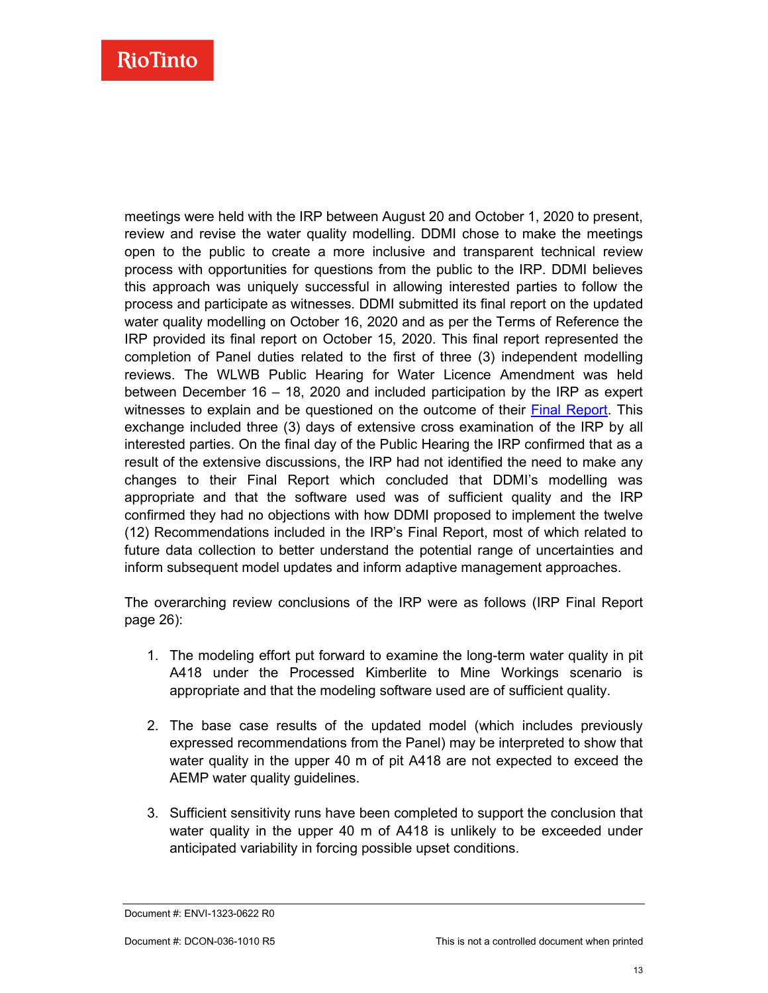meetings were held with the IRP between August 20 and October 1, 2020 to present, review and revise the water quality modelling. DDMI chose to make the meetings open to the public to create a more inclusive and transparent technical review process with opportunities for questions from the public to the IRP. DDMI believes this approach was uniquely successful in allowing interested parties to follow the process and participate as witnesses. DDMI submitted its final report on the updated water quality modelling on October 16, 2020 and as per the Terms of Reference the IRP provided its final report on October 15, 2020. This final report represented the completion of Panel duties related to the first of three (3) independent modelling reviews. The WLWB Public Hearing for Water Licence Amendment was held between December 16 – 18, 2020 and included participation by the IRP as expert witnesses to explain and be questioned on the outcome of their Final [Report.](http://registry.mvlwb.ca/Documents/W2015L2-0001/Diavik%20-%20WL%20Amendment%20-%20PKMW%20-%20Information%20Request%20-%20IRP%20Report%20-%20Oct%2015_20.pdf) This exchange included three (3) days of extensive cross examination of the IRP by all interested parties. On the final day of the Public Hearing the IRP confirmed that as a result of the extensive discussions, the IRP had not identified the need to make any changes to their Final Report which concluded that DDMI's modelling was appropriate and that the software used was of sufficient quality and the IRP confirmed they had no objections with how DDMI proposed to implement the twelve (12) Recommendations included in the IRP's Final Report, most of which related to future data collection to better understand the potential range of uncertainties and inform subsequent model updates and inform adaptive management approaches.

The overarching review conclusions of the IRP were as follows (IRP Final Report page 26):

- 1. The modeling effort put forward to examine the long-term water quality in pit A418 under the Processed Kimberlite to Mine Workings scenario is appropriate and that the modeling software used are of sufficient quality.
- 2. The base case results of the updated model (which includes previously expressed recommendations from the Panel) may be interpreted to show that water quality in the upper 40 m of pit A418 are not expected to exceed the AEMP water quality guidelines.
- 3. Sufficient sensitivity runs have been completed to support the conclusion that water quality in the upper 40 m of A418 is unlikely to be exceeded under anticipated variability in forcing possible upset conditions.

Document #: ENVI-1323-0622 R0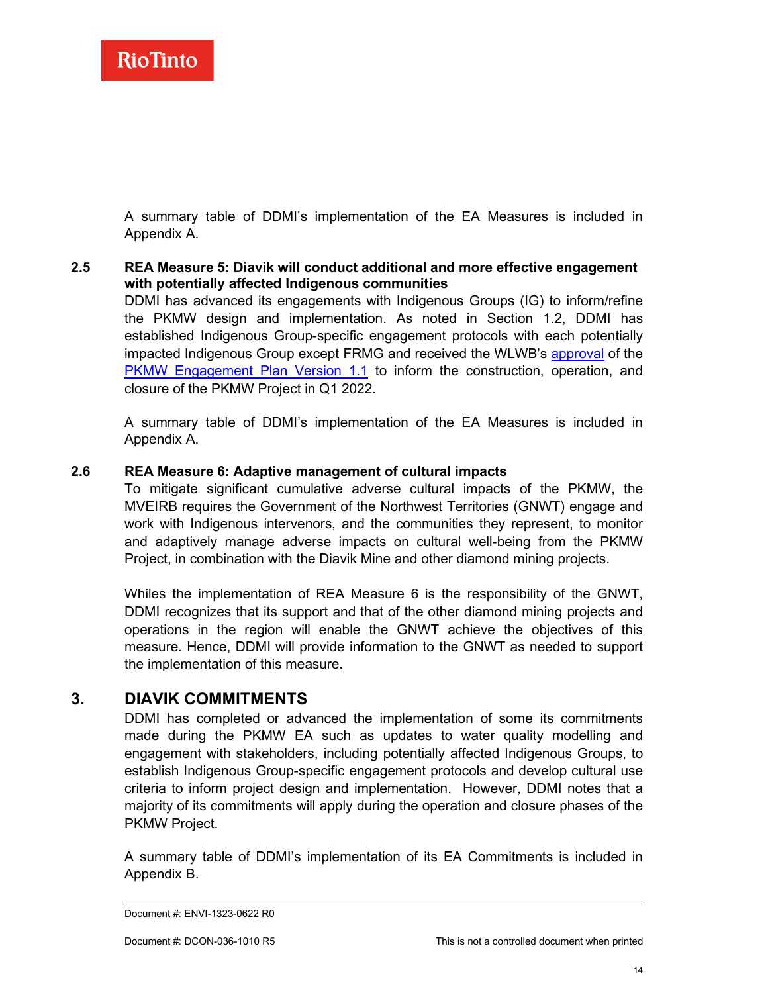A summary table of DDMI's implementation of the EA Measures is included in Appendix A.

<span id="page-15-0"></span>**2.5 REA Measure 5: Diavik will conduct additional and more effective engagement with potentially affected Indigenous communities** DDMI has advanced its engagements with Indigenous Groups (IG) to inform/refine the PKMW design and implementation. As noted in Section 1.2, DDMI has established Indigenous Group-specific engagement protocols with each potentially impacted Indigenous Group except FRMG and received the WLWB's [approval](https://registry.mvlwb.ca/Documents/W2015L2-0001/Diavik%20-%20PKMW%20Engagement%20Plan%20-%20Version%201.1%20-%20Decision%20Letter%20-%20Mar%2030_22.pdf) of the [PKMW Engagement Plan Version 1.1](https://registry.mvlwb.ca/Documents/W2015L2-0001/Diavik%20-%20PKMW%20Engagement%20Plan%20-%20Version%201.1%20-%20Feb%2018_22.pdf) to inform the construction, operation, and closure of the PKMW Project in Q1 2022.

A summary table of DDMI's implementation of the EA Measures is included in Appendix A.

#### **2.6 REA Measure 6: Adaptive management of cultural impacts**

<span id="page-15-1"></span>To mitigate significant cumulative adverse cultural impacts of the PKMW, the MVEIRB requires the Government of the Northwest Territories (GNWT) engage and work with Indigenous intervenors, and the communities they represent, to monitor and adaptively manage adverse impacts on cultural well-being from the PKMW Project, in combination with the Diavik Mine and other diamond mining projects.

Whiles the implementation of REA Measure 6 is the responsibility of the GNWT, DDMI recognizes that its support and that of the other diamond mining projects and operations in the region will enable the GNWT achieve the objectives of this measure. Hence, DDMI will provide information to the GNWT as needed to support the implementation of this measure.

### **3. DIAVIK COMMITMENTS**

<span id="page-15-2"></span>DDMI has completed or advanced the implementation of some its commitments made during the PKMW EA such as updates to water quality modelling and engagement with stakeholders, including potentially affected Indigenous Groups, to establish Indigenous Group-specific engagement protocols and develop cultural use criteria to inform project design and implementation. However, DDMI notes that a majority of its commitments will apply during the operation and closure phases of the PKMW Project.

A summary table of DDMI's implementation of its EA Commitments is included in Appendix B.

Document #: ENVI-1323-0622 R0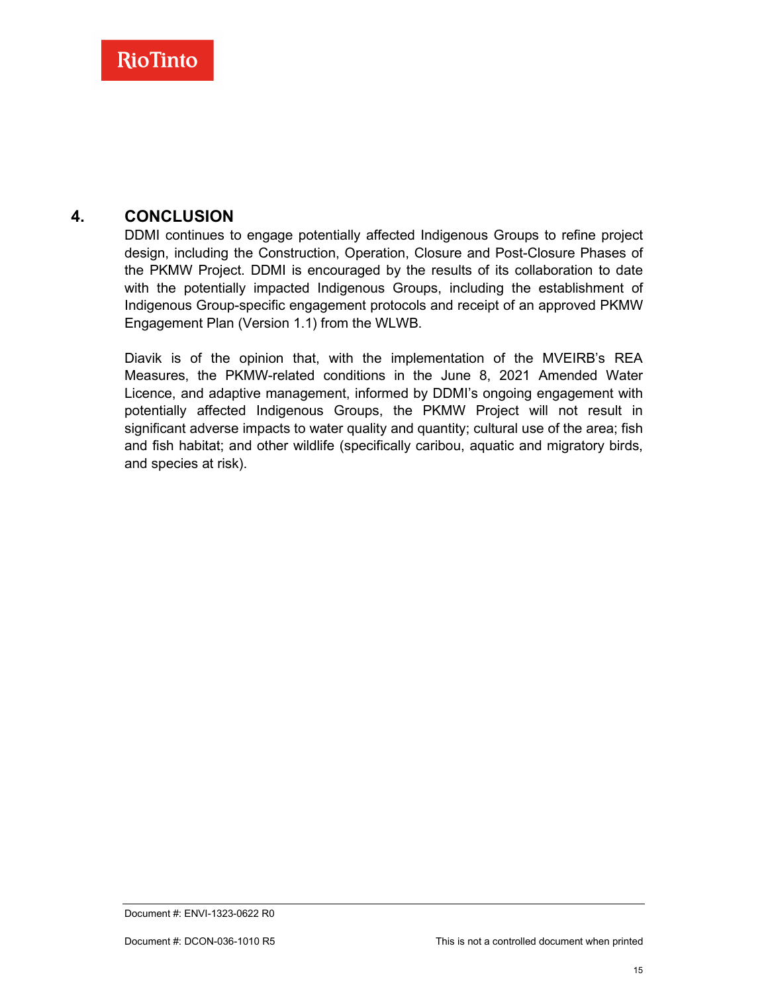### **4. CONCLUSION**

<span id="page-16-0"></span>DDMI continues to engage potentially affected Indigenous Groups to refine project design, including the Construction, Operation, Closure and Post-Closure Phases of the PKMW Project. DDMI is encouraged by the results of its collaboration to date with the potentially impacted Indigenous Groups, including the establishment of Indigenous Group-specific engagement protocols and receipt of an approved PKMW Engagement Plan (Version 1.1) from the WLWB.

Diavik is of the opinion that, with the implementation of the MVEIRB's REA Measures, the PKMW-related conditions in the June 8, 2021 Amended Water Licence, and adaptive management, informed by DDMI's ongoing engagement with potentially affected Indigenous Groups, the PKMW Project will not result in significant adverse impacts to water quality and quantity; cultural use of the area; fish and fish habitat; and other wildlife (specifically caribou, aquatic and migratory birds, and species at risk).

Document #: ENVI-1323-0622 R0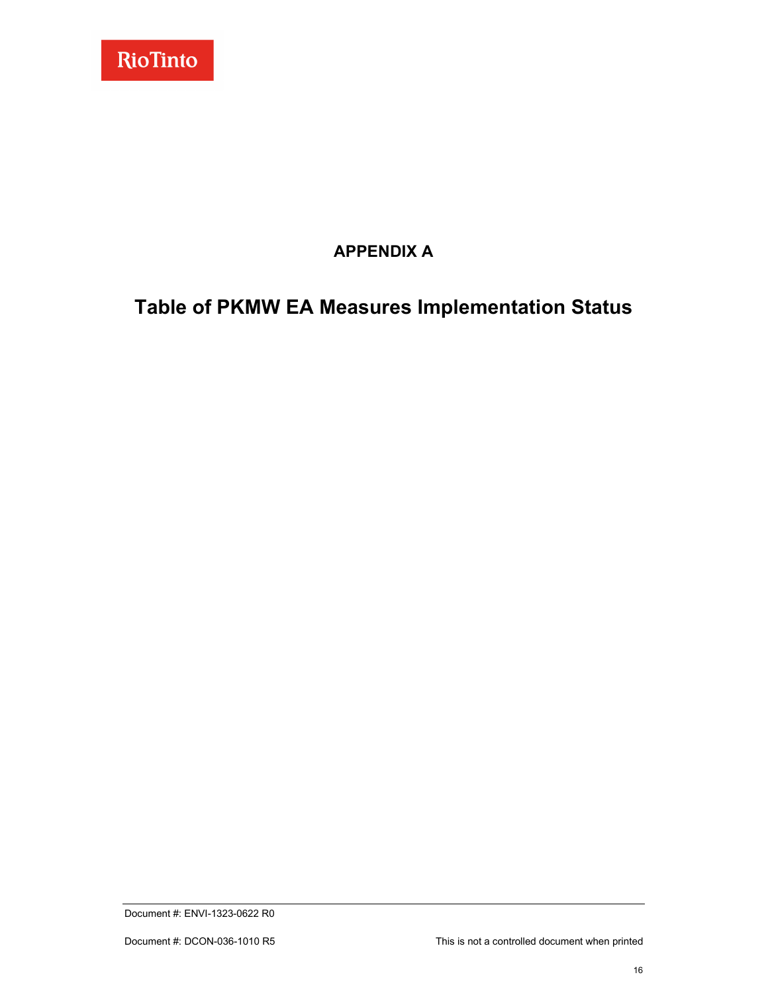

## **APPENDIX A**

# <span id="page-17-0"></span>**Table of PKMW EA Measures Implementation Status**

Document #: ENVI-1323-0622 R0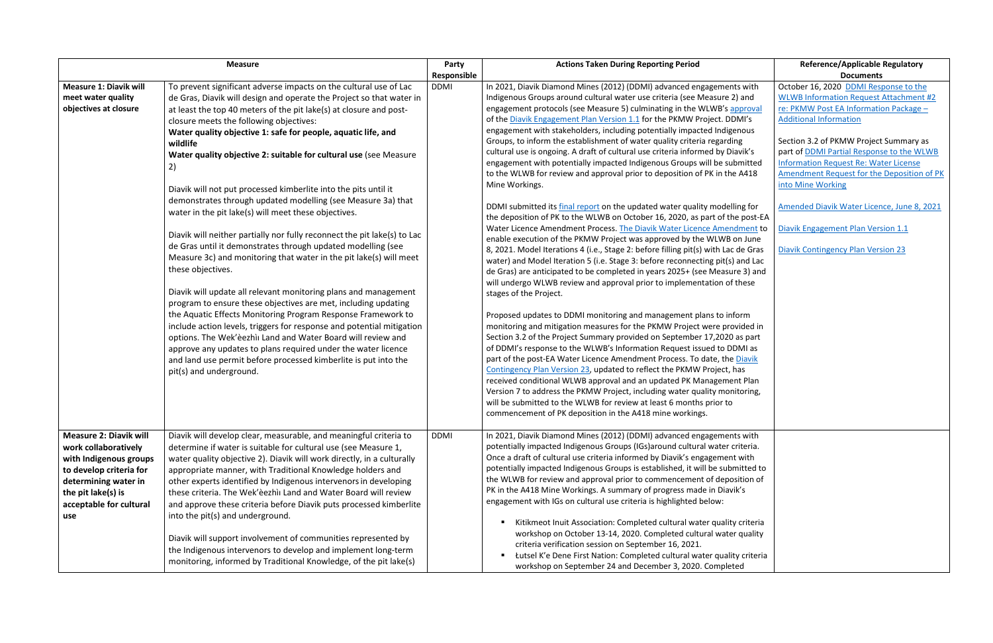|                                                                                                                                                                                            | <b>Measure</b>                                                                                                                                                                                                                                                                                                                                                                                                                                                                                                                                                                                                                                                                                                                                                                                                                                                                                                                                                                                                                                                                                                                                                                                                                                                                                                                                                    |                            | <b>Actions Taken During Reporting Period</b>                                                                                                                                                                                                                                                                                                                                                                                                                                                                                                                                                                                                                                                                                                                                                                                                                                                                                                                                                                                                                                                                                                                                                                                                                                                                                                                                                                                                                                                                                                                                                                                                                                                                                                                                                                                                                                                                                                                                                                                                                                                                                                                | <b>Reference/Applicable Regulatory</b><br><b>Documents</b>                                                                                                                                                                                                                                                                                                                                                                                                                                                   |
|--------------------------------------------------------------------------------------------------------------------------------------------------------------------------------------------|-------------------------------------------------------------------------------------------------------------------------------------------------------------------------------------------------------------------------------------------------------------------------------------------------------------------------------------------------------------------------------------------------------------------------------------------------------------------------------------------------------------------------------------------------------------------------------------------------------------------------------------------------------------------------------------------------------------------------------------------------------------------------------------------------------------------------------------------------------------------------------------------------------------------------------------------------------------------------------------------------------------------------------------------------------------------------------------------------------------------------------------------------------------------------------------------------------------------------------------------------------------------------------------------------------------------------------------------------------------------|----------------------------|-------------------------------------------------------------------------------------------------------------------------------------------------------------------------------------------------------------------------------------------------------------------------------------------------------------------------------------------------------------------------------------------------------------------------------------------------------------------------------------------------------------------------------------------------------------------------------------------------------------------------------------------------------------------------------------------------------------------------------------------------------------------------------------------------------------------------------------------------------------------------------------------------------------------------------------------------------------------------------------------------------------------------------------------------------------------------------------------------------------------------------------------------------------------------------------------------------------------------------------------------------------------------------------------------------------------------------------------------------------------------------------------------------------------------------------------------------------------------------------------------------------------------------------------------------------------------------------------------------------------------------------------------------------------------------------------------------------------------------------------------------------------------------------------------------------------------------------------------------------------------------------------------------------------------------------------------------------------------------------------------------------------------------------------------------------------------------------------------------------------------------------------------------------|--------------------------------------------------------------------------------------------------------------------------------------------------------------------------------------------------------------------------------------------------------------------------------------------------------------------------------------------------------------------------------------------------------------------------------------------------------------------------------------------------------------|
| <b>Measure 1: Diavik will</b><br>meet water quality<br>objectives at closure                                                                                                               | To prevent significant adverse impacts on the cultural use of Lac<br>de Gras, Diavik will design and operate the Project so that water in<br>at least the top 40 meters of the pit lake(s) at closure and post-<br>closure meets the following objectives:<br>Water quality objective 1: safe for people, aquatic life, and<br>wildlife<br>Water quality objective 2: suitable for cultural use (see Measure<br>2)<br>Diavik will not put processed kimberlite into the pits until it<br>demonstrates through updated modelling (see Measure 3a) that<br>water in the pit lake(s) will meet these objectives.<br>Diavik will neither partially nor fully reconnect the pit lake(s) to Lac<br>de Gras until it demonstrates through updated modelling (see<br>Measure 3c) and monitoring that water in the pit lake(s) will meet<br>these objectives.<br>Diavik will update all relevant monitoring plans and management<br>program to ensure these objectives are met, including updating<br>the Aquatic Effects Monitoring Program Response Framework to<br>include action levels, triggers for response and potential mitigation<br>options. The Wek'èezhìi Land and Water Board will review and<br>approve any updates to plans required under the water licence<br>and land use permit before processed kimberlite is put into the<br>pit(s) and underground. | Responsible<br><b>DDMI</b> | In 2021, Diavik Diamond Mines (2012) (DDMI) advanced engagements with<br>Indigenous Groups around cultural water use criteria (see Measure 2) and<br>engagement protocols (see Measure 5) culminating in the WLWB's approval<br>of the Diavik Engagement Plan Version 1.1 for the PKMW Project. DDMI's<br>engagement with stakeholders, including potentially impacted Indigenous<br>Groups, to inform the establishment of water quality criteria regarding<br>cultural use is ongoing. A draft of cultural use criteria informed by Diavik's<br>engagement with potentially impacted Indigenous Groups will be submitted<br>to the WLWB for review and approval prior to deposition of PK in the A418<br>Mine Workings.<br>DDMI submitted its final report on the updated water quality modelling for<br>the deposition of PK to the WLWB on October 16, 2020, as part of the post-EA<br>Water Licence Amendment Process. The Diavik Water Licence Amendment to<br>enable execution of the PKMW Project was approved by the WLWB on June<br>8, 2021. Model Iterations 4 (i.e., Stage 2: before filling pit(s) with Lac de Gras<br>water) and Model Iteration 5 (i.e. Stage 3: before reconnecting pit(s) and Lac<br>de Gras) are anticipated to be completed in years 2025+ (see Measure 3) and<br>will undergo WLWB review and approval prior to implementation of these<br>stages of the Project.<br>Proposed updates to DDMI monitoring and management plans to inform<br>monitoring and mitigation measures for the PKMW Project were provided in<br>Section 3.2 of the Project Summary provided on September 17,2020 as part<br>of DDMI's response to the WLWB's Information Request issued to DDMI as<br>part of the post-EA Water Licence Amendment Process. To date, the Diavik<br>Contingency Plan Version 23, updated to reflect the PKMW Project, has<br>received conditional WLWB approval and an updated PK Management Plan<br>Version 7 to address the PKMW Project, including water quality monitoring,<br>will be submitted to the WLWB for review at least 6 months prior to<br>commencement of PK deposition in the A418 mine workings. | October 16, 2020 DDMI Response to the<br><b>WLWB Information Request Attachment #2</b><br>re: PKMW Post EA Information Package -<br><b>Additional Information</b><br>Section 3.2 of PKMW Project Summary as<br>part of DDMI Partial Response to the WLWB<br><b>Information Request Re: Water License</b><br>Amendment Request for the Deposition of PK<br>into Mine Working<br>Amended Diavik Water Licence, June 8, 2021<br>Diavik Engagement Plan Version 1.1<br><b>Diavik Contingency Plan Version 23</b> |
| <b>Measure 2: Diavik will</b><br>work collaboratively<br>with Indigenous groups<br>to develop criteria for<br>determining water in<br>the pit lake(s) is<br>acceptable for cultural<br>use | Diavik will develop clear, measurable, and meaningful criteria to<br>determine if water is suitable for cultural use (see Measure 1,<br>water quality objective 2). Diavik will work directly, in a culturally<br>appropriate manner, with Traditional Knowledge holders and<br>other experts identified by Indigenous intervenors in developing<br>these criteria. The Wek'èezhìi Land and Water Board will review<br>and approve these criteria before Diavik puts processed kimberlite<br>into the pit(s) and underground.<br>Diavik will support involvement of communities represented by<br>the Indigenous intervenors to develop and implement long-term<br>monitoring, informed by Traditional Knowledge, of the pit lake(s)                                                                                                                                                                                                                                                                                                                                                                                                                                                                                                                                                                                                                              | <b>DDMI</b>                | In 2021, Diavik Diamond Mines (2012) (DDMI) advanced engagements with<br>potentially impacted Indigenous Groups (IGs) around cultural water criteria.<br>Once a draft of cultural use criteria informed by Diavik's engagement with<br>potentially impacted Indigenous Groups is established, it will be submitted to<br>the WLWB for review and approval prior to commencement of deposition of<br>PK in the A418 Mine Workings. A summary of progress made in Diavik's<br>engagement with IGs on cultural use criteria is highlighted below:<br>Kitikmeot Inuit Association: Completed cultural water quality criteria<br>workshop on October 13-14, 2020. Completed cultural water quality<br>criteria verification session on September 16, 2021.<br>Łutsel K'e Dene First Nation: Completed cultural water quality criteria<br>workshop on September 24 and December 3, 2020. Completed                                                                                                                                                                                                                                                                                                                                                                                                                                                                                                                                                                                                                                                                                                                                                                                                                                                                                                                                                                                                                                                                                                                                                                                                                                                                |                                                                                                                                                                                                                                                                                                                                                                                                                                                                                                              |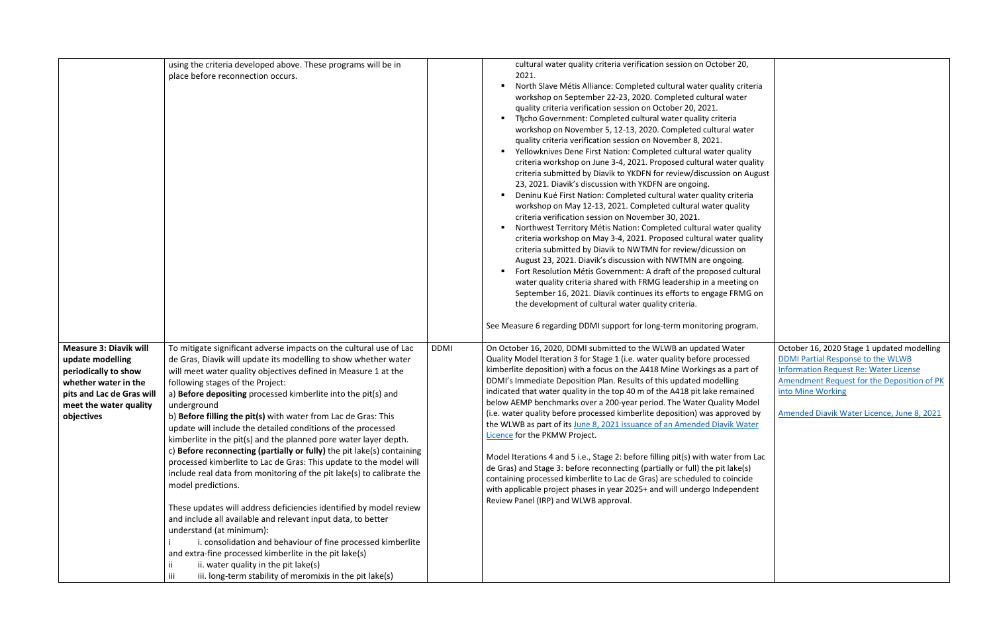|                                                                                                                                                                        | using the criteria developed above. These programs will be in<br>place before reconnection occurs.                                                                                                                                                                                                                                                                                                                                                                                                                                                                                                                                                                                                                                                                                                                                                                                                                                                                                                                                                                                                                                                                                            |             | cultural water quality criteria verification session on October 20,<br>2021.<br>North Slave Métis Alliance: Completed cultural water quality criteria<br>workshop on September 22-23, 2020. Completed cultural water<br>quality criteria verification session on October 20, 2021.<br>Tłįcho Government: Completed cultural water quality criteria<br>workshop on November 5, 12-13, 2020. Completed cultural water<br>quality criteria verification session on November 8, 2021.<br>Yellowknives Dene First Nation: Completed cultural water quality<br>criteria workshop on June 3-4, 2021. Proposed cultural water quality<br>criteria submitted by Diavik to YKDFN for review/discussion on August<br>23, 2021. Diavik's discussion with YKDFN are ongoing.<br>Deninu Kué First Nation: Completed cultural water quality criteria<br>workshop on May 12-13, 2021. Completed cultural water quality<br>criteria verification session on November 30, 2021.<br>Northwest Territory Métis Nation: Completed cultural water quality<br>criteria workshop on May 3-4, 2021. Proposed cultural water quality<br>criteria submitted by Diavik to NWTMN for review/dicussion on<br>August 23, 2021. Diavik's discussion with NWTMN are ongoing.<br>Fort Resolution Métis Government: A draft of the proposed cultural<br>water quality criteria shared with FRMG leadership in a meeting on<br>September 16, 2021. Diavik continues its efforts to engage FRMG on<br>the development of cultural water quality criteria.<br>See Measure 6 regarding DDMI support for long-term monitoring program. |                                                                                                                                                                                                                                                  |
|------------------------------------------------------------------------------------------------------------------------------------------------------------------------|-----------------------------------------------------------------------------------------------------------------------------------------------------------------------------------------------------------------------------------------------------------------------------------------------------------------------------------------------------------------------------------------------------------------------------------------------------------------------------------------------------------------------------------------------------------------------------------------------------------------------------------------------------------------------------------------------------------------------------------------------------------------------------------------------------------------------------------------------------------------------------------------------------------------------------------------------------------------------------------------------------------------------------------------------------------------------------------------------------------------------------------------------------------------------------------------------|-------------|------------------------------------------------------------------------------------------------------------------------------------------------------------------------------------------------------------------------------------------------------------------------------------------------------------------------------------------------------------------------------------------------------------------------------------------------------------------------------------------------------------------------------------------------------------------------------------------------------------------------------------------------------------------------------------------------------------------------------------------------------------------------------------------------------------------------------------------------------------------------------------------------------------------------------------------------------------------------------------------------------------------------------------------------------------------------------------------------------------------------------------------------------------------------------------------------------------------------------------------------------------------------------------------------------------------------------------------------------------------------------------------------------------------------------------------------------------------------------------------------------------------------------------------------------------------------------------------------|--------------------------------------------------------------------------------------------------------------------------------------------------------------------------------------------------------------------------------------------------|
| <b>Measure 3: Diavik will</b><br>update modelling<br>periodically to show<br>whether water in the<br>pits and Lac de Gras will<br>meet the water quality<br>objectives | To mitigate significant adverse impacts on the cultural use of Lac<br>de Gras, Diavik will update its modelling to show whether water<br>will meet water quality objectives defined in Measure 1 at the<br>following stages of the Project:<br>a) Before depositing processed kimberlite into the pit(s) and<br>underground<br>b) Before filling the pit(s) with water from Lac de Gras: This<br>update will include the detailed conditions of the processed<br>kimberlite in the pit(s) and the planned pore water layer depth.<br>c) Before reconnecting (partially or fully) the pit lake(s) containing<br>processed kimberlite to Lac de Gras: This update to the model will<br>include real data from monitoring of the pit lake(s) to calibrate the<br>model predictions.<br>These updates will address deficiencies identified by model review<br>and include all available and relevant input data, to better<br>understand (at minimum):<br>i. consolidation and behaviour of fine processed kimberlite<br>and extra-fine processed kimberlite in the pit lake(s)<br>ii. water quality in the pit lake(s)<br>ΪĹ.<br>iii. long-term stability of meromixis in the pit lake(s)<br>iii | <b>DDMI</b> | On October 16, 2020, DDMI submitted to the WLWB an updated Water<br>Quality Model Iteration 3 for Stage 1 (i.e. water quality before processed<br>kimberlite deposition) with a focus on the A418 Mine Workings as a part of<br>DDMI's Immediate Deposition Plan. Results of this updated modelling<br>indicated that water quality in the top 40 m of the A418 pit lake remained<br>below AEMP benchmarks over a 200-year period. The Water Quality Model<br>(i.e. water quality before processed kimberlite deposition) was approved by<br>the WLWB as part of its June 8, 2021 issuance of an Amended Diavik Water<br>Licence for the PKMW Project.<br>Model Iterations 4 and 5 i.e., Stage 2: before filling pit(s) with water from Lac<br>de Gras) and Stage 3: before reconnecting (partially or full) the pit lake(s)<br>containing processed kimberlite to Lac de Gras) are scheduled to coincide<br>with applicable project phases in year 2025+ and will undergo Independent<br>Review Panel (IRP) and WLWB approval.                                                                                                                                                                                                                                                                                                                                                                                                                                                                                                                                                                | October 16, 2020 Stage 1 updated modelling<br>DDMI Partial Response to the WLWB<br><b>Information Request Re: Water License</b><br>Amendment Request for the Deposition of PK<br>into Mine Working<br>Amended Diavik Water Licence, June 8, 2021 |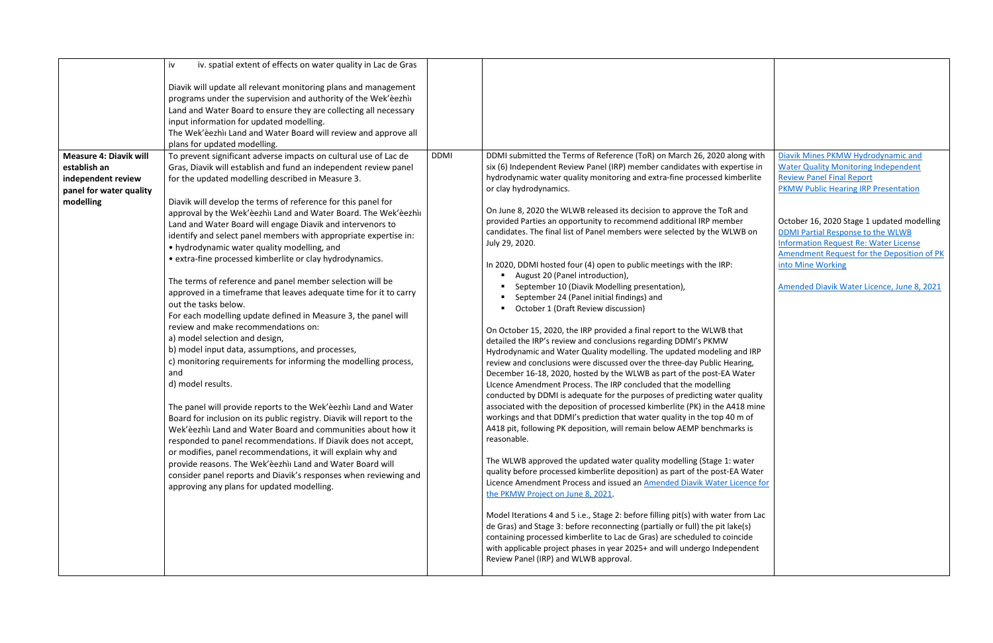|                               | iv. spatial extent of effects on water quality in Lac de Gras<br>iv   |             |                                                                                   |                                              |
|-------------------------------|-----------------------------------------------------------------------|-------------|-----------------------------------------------------------------------------------|----------------------------------------------|
|                               |                                                                       |             |                                                                                   |                                              |
|                               | Diavik will update all relevant monitoring plans and management       |             |                                                                                   |                                              |
|                               | programs under the supervision and authority of the Wek'eezhii        |             |                                                                                   |                                              |
|                               | Land and Water Board to ensure they are collecting all necessary      |             |                                                                                   |                                              |
|                               | input information for updated modelling.                              |             |                                                                                   |                                              |
|                               | The Wek'eezhii Land and Water Board will review and approve all       |             |                                                                                   |                                              |
|                               | plans for updated modelling.                                          |             |                                                                                   |                                              |
| <b>Measure 4: Diavik will</b> | To prevent significant adverse impacts on cultural use of Lac de      | <b>DDMI</b> | DDMI submitted the Terms of Reference (ToR) on March 26, 2020 along with          | Diavik Mines PKMW Hydrodynamic and           |
| establish an                  | Gras, Diavik will establish and fund an independent review panel      |             | six (6) Independent Review Panel (IRP) member candidates with expertise in        | <b>Water Quality Monitoring Independent</b>  |
| independent review            | for the updated modelling described in Measure 3.                     |             | hydrodynamic water quality monitoring and extra-fine processed kimberlite         | <b>Review Panel Final Report</b>             |
|                               |                                                                       |             | or clay hydrodynamics.                                                            | <b>PKMW Public Hearing IRP Presentation</b>  |
| panel for water quality       |                                                                       |             |                                                                                   |                                              |
| modelling                     | Diavik will develop the terms of reference for this panel for         |             | On June 8, 2020 the WLWB released its decision to approve the ToR and             |                                              |
|                               | approval by the Wek'èezhìi Land and Water Board. The Wek'èezhìi       |             | provided Parties an opportunity to recommend additional IRP member                | October 16, 2020 Stage 1 updated modelling   |
|                               | Land and Water Board will engage Diavik and intervenors to            |             | candidates. The final list of Panel members were selected by the WLWB on          | DDMI Partial Response to the WLWB            |
|                               | identify and select panel members with appropriate expertise in:      |             | July 29, 2020.                                                                    | <b>Information Request Re: Water License</b> |
|                               | • hydrodynamic water quality modelling, and                           |             |                                                                                   | Amendment Request for the Deposition of PK   |
|                               | • extra-fine processed kimberlite or clay hydrodynamics.              |             | In 2020, DDMI hosted four (4) open to public meetings with the IRP:               | into Mine Working                            |
|                               |                                                                       |             | August 20 (Panel introduction),                                                   |                                              |
|                               | The terms of reference and panel member selection will be             |             | September 10 (Diavik Modelling presentation),                                     | Amended Diavik Water Licence, June 8, 2021   |
|                               | approved in a timeframe that leaves adequate time for it to carry     |             | September 24 (Panel initial findings) and                                         |                                              |
|                               | out the tasks below.                                                  |             | October 1 (Draft Review discussion)                                               |                                              |
|                               | For each modelling update defined in Measure 3, the panel will        |             |                                                                                   |                                              |
|                               | review and make recommendations on:                                   |             | On October 15, 2020, the IRP provided a final report to the WLWB that             |                                              |
|                               | a) model selection and design,                                        |             | detailed the IRP's review and conclusions regarding DDMI's PKMW                   |                                              |
|                               | b) model input data, assumptions, and processes,                      |             | Hydrodynamic and Water Quality modelling. The updated modeling and IRP            |                                              |
|                               | c) monitoring requirements for informing the modelling process,       |             | review and conclusions were discussed over the three-day Public Hearing,          |                                              |
|                               | and                                                                   |             | December 16-18, 2020, hosted by the WLWB as part of the post-EA Water             |                                              |
|                               | d) model results.                                                     |             | Licence Amendment Process. The IRP concluded that the modelling                   |                                              |
|                               |                                                                       |             | conducted by DDMI is adequate for the purposes of predicting water quality        |                                              |
|                               | The panel will provide reports to the Wek'eezhii Land and Water       |             | associated with the deposition of processed kimberlite (PK) in the A418 mine      |                                              |
|                               | Board for inclusion on its public registry. Diavik will report to the |             | workings and that DDMI's prediction that water quality in the top 40 m of         |                                              |
|                               | Wek'èezhìi Land and Water Board and communities about how it          |             | A418 pit, following PK deposition, will remain below AEMP benchmarks is           |                                              |
|                               | responded to panel recommendations. If Diavik does not accept,        |             | reasonable.                                                                       |                                              |
|                               | or modifies, panel recommendations, it will explain why and           |             | The WLWB approved the updated water quality modelling (Stage 1: water             |                                              |
|                               | provide reasons. The Wek'èezhìi Land and Water Board will             |             | quality before processed kimberlite deposition) as part of the post-EA Water      |                                              |
|                               | consider panel reports and Diavik's responses when reviewing and      |             | Licence Amendment Process and issued an Amended Diavik Water Licence for          |                                              |
|                               | approving any plans for updated modelling.                            |             | the PKMW Project on June 8, 2021.                                                 |                                              |
|                               |                                                                       |             |                                                                                   |                                              |
|                               |                                                                       |             | Model Iterations 4 and 5 i.e., Stage 2: before filling pit(s) with water from Lac |                                              |
|                               |                                                                       |             | de Gras) and Stage 3: before reconnecting (partially or full) the pit lake(s)     |                                              |
|                               |                                                                       |             | containing processed kimberlite to Lac de Gras) are scheduled to coincide         |                                              |
|                               |                                                                       |             | with applicable project phases in year 2025+ and will undergo Independent         |                                              |
|                               |                                                                       |             | Review Panel (IRP) and WLWB approval.                                             |                                              |
|                               |                                                                       |             |                                                                                   |                                              |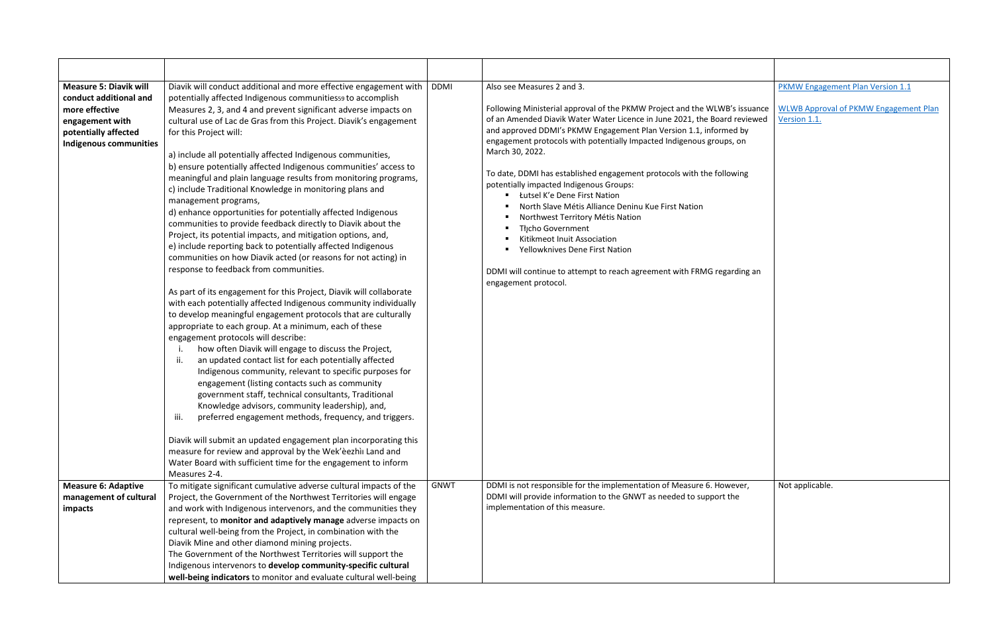| <b>Measure 5: Diavik will</b><br>conduct additional and<br>more effective<br>engagement with<br>potentially affected<br><b>Indigenous communities</b> | Diavik will conduct additional and more effective engagement with<br>potentially affected Indigenous communitiess9 to accomplish<br>Measures 2, 3, and 4 and prevent significant adverse impacts on<br>cultural use of Lac de Gras from this Project. Diavik's engagement<br>for this Project will:<br>a) include all potentially affected Indigenous communities,<br>b) ensure potentially affected Indigenous communities' access to<br>meaningful and plain language results from monitoring programs,<br>c) include Traditional Knowledge in monitoring plans and<br>management programs,<br>d) enhance opportunities for potentially affected Indigenous<br>communities to provide feedback directly to Diavik about the<br>Project, its potential impacts, and mitigation options, and,<br>e) include reporting back to potentially affected Indigenous<br>communities on how Diavik acted (or reasons for not acting) in<br>response to feedback from communities.<br>As part of its engagement for this Project, Diavik will collaborate<br>with each potentially affected Indigenous community individually<br>to develop meaningful engagement protocols that are culturally<br>appropriate to each group. At a minimum, each of these<br>engagement protocols will describe:<br>how often Diavik will engage to discuss the Project,<br>an updated contact list for each potentially affected<br>II.<br>Indigenous community, relevant to specific purposes for<br>engagement (listing contacts such as community<br>government staff, technical consultants, Traditional<br>Knowledge advisors, community leadership), and,<br>preferred engagement methods, frequency, and triggers.<br>iii.<br>Diavik will submit an updated engagement plan incorporating this<br>measure for review and approval by the Wek'eezhii Land and<br>Water Board with sufficient time for the engagement to inform<br>Measures 2-4. | <b>DDMI</b> | Also see Measures 2 and 3.<br>Following Ministerial approval of the PKMW Project and the WLWB's issuance<br>of an Amended Diavik Water Water Licence in June 2021, the Board reviewed<br>and approved DDMI's PKMW Engagement Plan Version 1.1, informed by<br>engagement protocols with potentially Impacted Indigenous groups, on<br>March 30, 2022.<br>To date, DDMI has established engagement protocols with the following<br>potentially impacted Indigenous Groups:<br>Łutsel K'e Dene First Nation<br>North Slave Métis Alliance Deninu Kue First Nation<br>Northwest Territory Métis Nation<br>Thcho Government<br>Kitikmeot Inuit Association<br>Yellowknives Dene First Nation<br>DDMI will continue to attempt to reach agreement with FRMG regarding an<br>engagement protocol. |
|-------------------------------------------------------------------------------------------------------------------------------------------------------|-------------------------------------------------------------------------------------------------------------------------------------------------------------------------------------------------------------------------------------------------------------------------------------------------------------------------------------------------------------------------------------------------------------------------------------------------------------------------------------------------------------------------------------------------------------------------------------------------------------------------------------------------------------------------------------------------------------------------------------------------------------------------------------------------------------------------------------------------------------------------------------------------------------------------------------------------------------------------------------------------------------------------------------------------------------------------------------------------------------------------------------------------------------------------------------------------------------------------------------------------------------------------------------------------------------------------------------------------------------------------------------------------------------------------------------------------------------------------------------------------------------------------------------------------------------------------------------------------------------------------------------------------------------------------------------------------------------------------------------------------------------------------------------------------------------------------------------------------------------------------------------------------------------------------------|-------------|---------------------------------------------------------------------------------------------------------------------------------------------------------------------------------------------------------------------------------------------------------------------------------------------------------------------------------------------------------------------------------------------------------------------------------------------------------------------------------------------------------------------------------------------------------------------------------------------------------------------------------------------------------------------------------------------------------------------------------------------------------------------------------------------|
| <b>Measure 6: Adaptive</b><br>management of cultural<br>impacts                                                                                       | To mitigate significant cumulative adverse cultural impacts of the<br>Project, the Government of the Northwest Territories will engage<br>and work with Indigenous intervenors, and the communities they<br>represent, to monitor and adaptively manage adverse impacts on<br>cultural well-being from the Project, in combination with the<br>Diavik Mine and other diamond mining projects.<br>The Government of the Northwest Territories will support the<br>Indigenous intervenors to develop community-specific cultural<br>well-being indicators to monitor and evaluate cultural well-being                                                                                                                                                                                                                                                                                                                                                                                                                                                                                                                                                                                                                                                                                                                                                                                                                                                                                                                                                                                                                                                                                                                                                                                                                                                                                                                           | <b>GNWT</b> | DDMI is not responsible for the implementation of Measure 6. However,<br>DDMI will provide information to the GNWT as needed to support the<br>implementation of this measure.                                                                                                                                                                                                                                                                                                                                                                                                                                                                                                                                                                                                              |

|                                          | <b>PKMW Engagement Plan Version 1.1</b>                      |
|------------------------------------------|--------------------------------------------------------------|
| 's issuance<br>reviewed<br>ed by<br>, on | <b>WLWB Approval of PKMW Engagement Plan</b><br>Version 1.1. |
| wing                                     |                                                              |
|                                          |                                                              |
| rding an                                 |                                                              |
|                                          |                                                              |
|                                          |                                                              |
|                                          |                                                              |
|                                          |                                                              |
| ever,<br>he                              | Not applicable.                                              |
|                                          |                                                              |
|                                          |                                                              |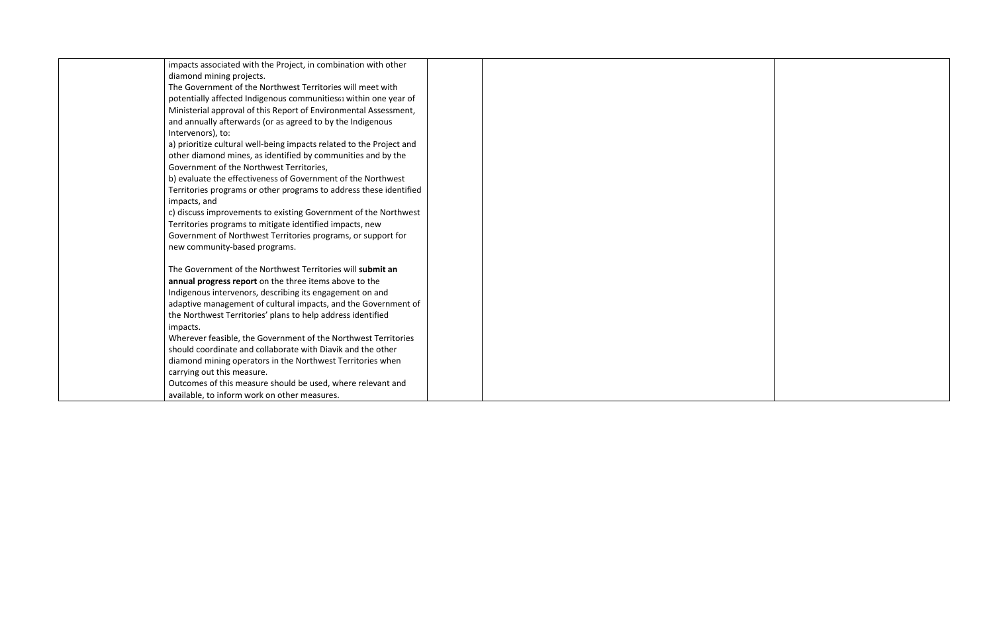| impacts associated with the Project, in combination with other       |  |
|----------------------------------------------------------------------|--|
| diamond mining projects.                                             |  |
| The Government of the Northwest Territories will meet with           |  |
| potentially affected Indigenous communities61 within one year of     |  |
| Ministerial approval of this Report of Environmental Assessment,     |  |
| and annually afterwards (or as agreed to by the Indigenous           |  |
| Intervenors), to:                                                    |  |
| a) prioritize cultural well-being impacts related to the Project and |  |
| other diamond mines, as identified by communities and by the         |  |
| Government of the Northwest Territories,                             |  |
| b) evaluate the effectiveness of Government of the Northwest         |  |
| Territories programs or other programs to address these identified   |  |
| impacts, and                                                         |  |
| c) discuss improvements to existing Government of the Northwest      |  |
| Territories programs to mitigate identified impacts, new             |  |
| Government of Northwest Territories programs, or support for         |  |
| new community-based programs.                                        |  |
| The Government of the Northwest Territories will submit an           |  |
| annual progress report on the three items above to the               |  |
| Indigenous intervenors, describing its engagement on and             |  |
| adaptive management of cultural impacts, and the Government of       |  |
| the Northwest Territories' plans to help address identified          |  |
| impacts.                                                             |  |
| Wherever feasible, the Government of the Northwest Territories       |  |
| should coordinate and collaborate with Diavik and the other          |  |
| diamond mining operators in the Northwest Territories when           |  |
| carrying out this measure.                                           |  |
| Outcomes of this measure should be used, where relevant and          |  |
| available, to inform work on other measures.                         |  |
|                                                                      |  |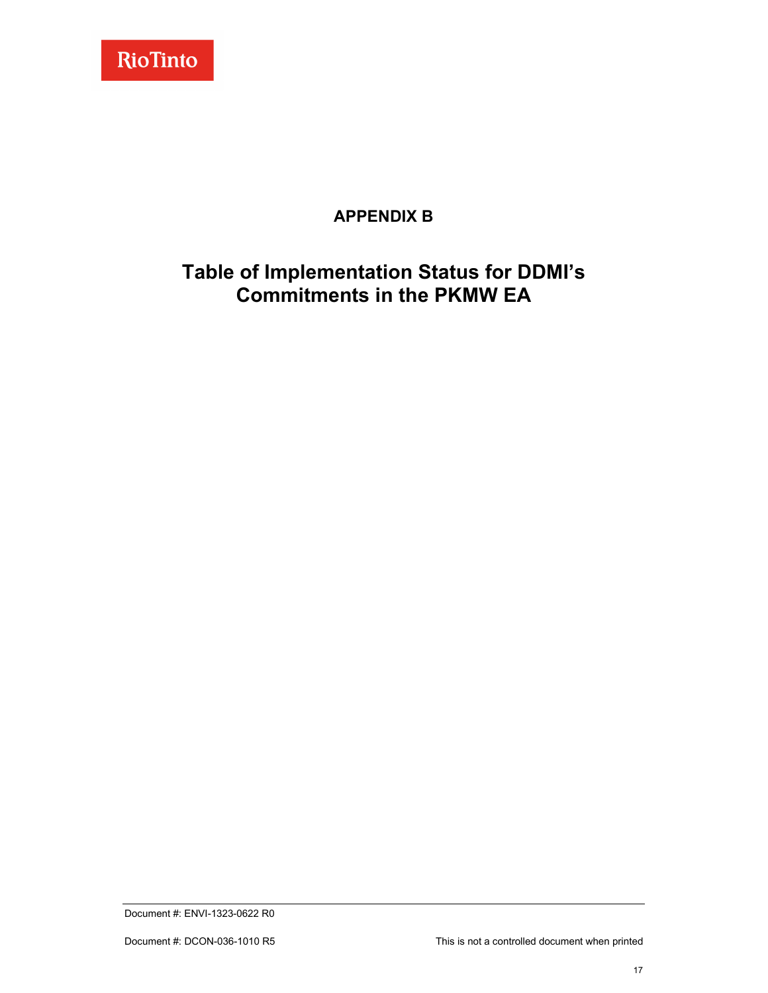

## **APPENDIX B**

# <span id="page-23-0"></span>**Table of Implementation Status for DDMI's Commitments in the PKMW EA**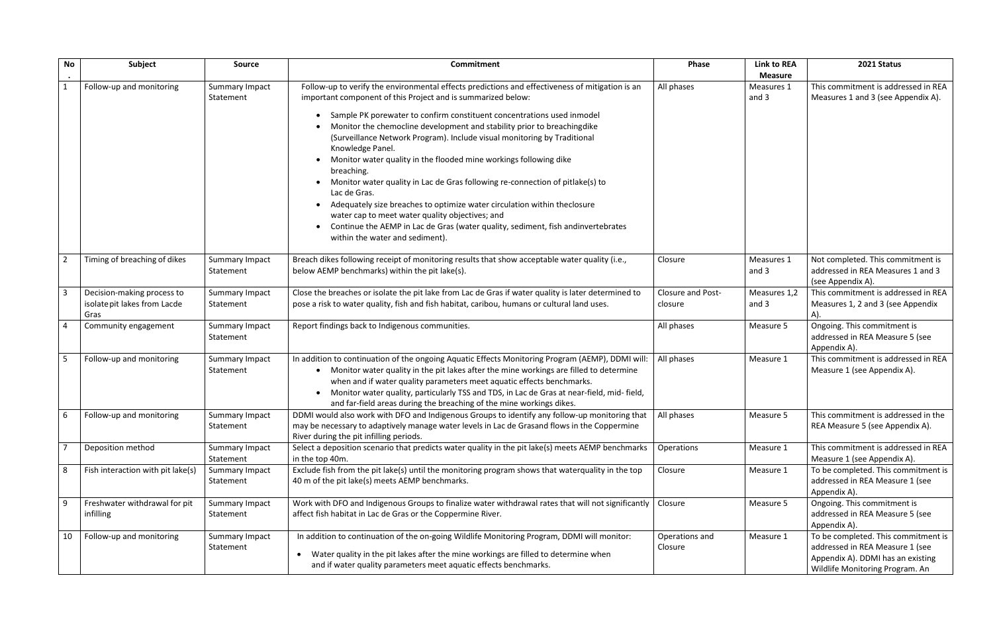| <b>No</b>               | Subject                                                            | Source                      | <b>Commitment</b>                                                                                                                                                                                                                                                                                                                                                                                                                                                                                                                                                                                                                                                                                                                                                                                                                                              | <b>Phase</b>                        | <b>Link to REA</b><br><b>Measure</b> | 2021 Status                                                                                                                                    |
|-------------------------|--------------------------------------------------------------------|-----------------------------|----------------------------------------------------------------------------------------------------------------------------------------------------------------------------------------------------------------------------------------------------------------------------------------------------------------------------------------------------------------------------------------------------------------------------------------------------------------------------------------------------------------------------------------------------------------------------------------------------------------------------------------------------------------------------------------------------------------------------------------------------------------------------------------------------------------------------------------------------------------|-------------------------------------|--------------------------------------|------------------------------------------------------------------------------------------------------------------------------------------------|
|                         | Follow-up and monitoring                                           | Summary Impact<br>Statement | Follow-up to verify the environmental effects predictions and effectiveness of mitigation is an<br>important component of this Project and is summarized below:<br>Sample PK porewater to confirm constituent concentrations used inmodel<br>Monitor the chemocline development and stability prior to breachingdike<br>(Surveillance Network Program). Include visual monitoring by Traditional<br>Knowledge Panel.<br>Monitor water quality in the flooded mine workings following dike<br>breaching.<br>Monitor water quality in Lac de Gras following re-connection of pitlake(s) to<br>Lac de Gras.<br>Adequately size breaches to optimize water circulation within theclosure<br>water cap to meet water quality objectives; and<br>Continue the AEMP in Lac de Gras (water quality, sediment, fish andinvertebrates<br>within the water and sediment). | All phases                          | Measures 1<br>and 3                  | This commitment is addressed in REA<br>Measures 1 and 3 (see Appendix A).                                                                      |
| $\overline{2}$          | Timing of breaching of dikes                                       | Summary Impact<br>Statement | Breach dikes following receipt of monitoring results that show acceptable water quality (i.e.,<br>below AEMP benchmarks) within the pit lake(s).                                                                                                                                                                                                                                                                                                                                                                                                                                                                                                                                                                                                                                                                                                               | Closure                             | Measures 1<br>and 3                  | Not completed. This commitment is<br>addressed in REA Measures 1 and 3<br>(see Appendix A).                                                    |
| $\overline{\mathbf{3}}$ | Decision-making process to<br>isolate pit lakes from Lacde<br>Gras | Summary Impact<br>Statement | Close the breaches or isolate the pit lake from Lac de Gras if water quality is later determined to<br>pose a risk to water quality, fish and fish habitat, caribou, humans or cultural land uses.                                                                                                                                                                                                                                                                                                                                                                                                                                                                                                                                                                                                                                                             | <b>Closure and Post-</b><br>closure | Measures 1,2<br>and 3                | This commitment is addressed in REA<br>Measures 1, 2 and 3 (see Appendix                                                                       |
| $\overline{4}$          | Community engagement                                               | Summary Impact<br>Statement | Report findings back to Indigenous communities.                                                                                                                                                                                                                                                                                                                                                                                                                                                                                                                                                                                                                                                                                                                                                                                                                | All phases                          | Measure 5                            | Ongoing. This commitment is<br>addressed in REA Measure 5 (see<br>Appendix A).                                                                 |
| -5                      | Follow-up and monitoring                                           | Summary Impact<br>Statement | In addition to continuation of the ongoing Aquatic Effects Monitoring Program (AEMP), DDMI will:<br>• Monitor water quality in the pit lakes after the mine workings are filled to determine<br>when and if water quality parameters meet aquatic effects benchmarks.<br>• Monitor water quality, particularly TSS and TDS, in Lac de Gras at near-field, mid-field,<br>and far-field areas during the breaching of the mine workings dikes.                                                                                                                                                                                                                                                                                                                                                                                                                   | All phases                          | Measure 1                            | This commitment is addressed in REA<br>Measure 1 (see Appendix A).                                                                             |
| 6                       | Follow-up and monitoring                                           | Summary Impact<br>Statement | DDMI would also work with DFO and Indigenous Groups to identify any follow-up monitoring that<br>may be necessary to adaptively manage water levels in Lac de Grasand flows in the Coppermine<br>River during the pit infilling periods.                                                                                                                                                                                                                                                                                                                                                                                                                                                                                                                                                                                                                       | All phases                          | Measure 5                            | This commitment is addressed in the<br>REA Measure 5 (see Appendix A).                                                                         |
| $\overline{7}$          | Deposition method                                                  | Summary Impact<br>Statement | Select a deposition scenario that predicts water quality in the pit lake(s) meets AEMP benchmarks<br>in the top 40m.                                                                                                                                                                                                                                                                                                                                                                                                                                                                                                                                                                                                                                                                                                                                           | Operations                          | Measure 1                            | This commitment is addressed in REA<br>Measure 1 (see Appendix A).                                                                             |
| 8                       | Fish interaction with pit lake(s)                                  | Summary Impact<br>Statement | Exclude fish from the pit lake(s) until the monitoring program shows that waterquality in the top<br>40 m of the pit lake(s) meets AEMP benchmarks.                                                                                                                                                                                                                                                                                                                                                                                                                                                                                                                                                                                                                                                                                                            | Closure                             | Measure 1                            | To be completed. This commitment is<br>addressed in REA Measure 1 (see<br>Appendix A).                                                         |
| 9                       | Freshwater withdrawal for pit<br>infilling                         | Summary Impact<br>Statement | Work with DFO and Indigenous Groups to finalize water withdrawal rates that will not significantly   Closure<br>affect fish habitat in Lac de Gras or the Coppermine River.                                                                                                                                                                                                                                                                                                                                                                                                                                                                                                                                                                                                                                                                                    |                                     | Measure 5                            | Ongoing. This commitment is<br>addressed in REA Measure 5 (see<br>Appendix A).                                                                 |
| 10                      | Follow-up and monitoring                                           | Summary Impact<br>Statement | In addition to continuation of the on-going Wildlife Monitoring Program, DDMI will monitor:<br>Water quality in the pit lakes after the mine workings are filled to determine when<br>$\bullet$<br>and if water quality parameters meet aquatic effects benchmarks.                                                                                                                                                                                                                                                                                                                                                                                                                                                                                                                                                                                            | Operations and<br>Closure           | Measure 1                            | To be completed. This commitment is<br>addressed in REA Measure 1 (see<br>Appendix A). DDMI has an existing<br>Wildlife Monitoring Program. An |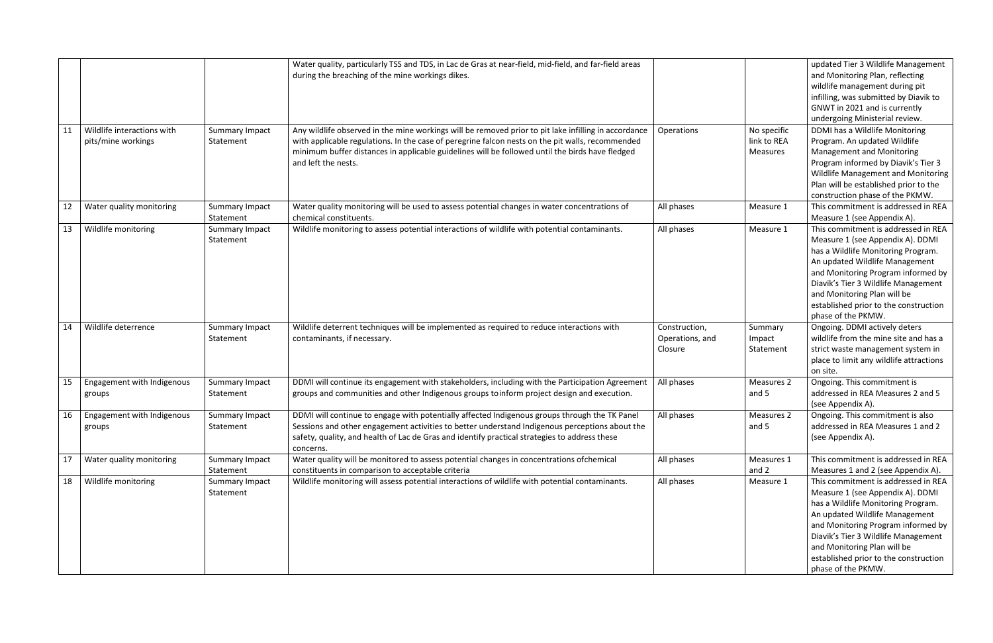| 11 | Wildlife interactions with<br>pits/mine workings | Summary Impact<br>Statement | Water quality, particularly TSS and TDS, in Lac de Gras at near-field, mid-field, and far-field areas<br>during the breaching of the mine workings dikes.<br>Any wildlife observed in the mine workings will be removed prior to pit lake infilling in accordance<br>with applicable regulations. In the case of peregrine falcon nests on the pit walls, recommended<br>minimum buffer distances in applicable guidelines will be followed until the birds have fledged<br>and left the nests. | Operations                                  | No specific<br>link to REA<br><b>Measures</b> | updated Tier 3 Wildlife Management<br>and Monitoring Plan, reflecting<br>wildlife management during pit<br>infilling, was submitted by Diavik to<br>GNWT in 2021 and is currently<br>undergoing Ministerial review.<br>DDMI has a Wildlife Monitoring<br>Program. An updated Wildlife<br><b>Management and Monitoring</b><br>Program informed by Diavik's Tier 3<br>Wildlife Management and Monitoring<br>Plan will be established prior to the |
|----|--------------------------------------------------|-----------------------------|-------------------------------------------------------------------------------------------------------------------------------------------------------------------------------------------------------------------------------------------------------------------------------------------------------------------------------------------------------------------------------------------------------------------------------------------------------------------------------------------------|---------------------------------------------|-----------------------------------------------|-------------------------------------------------------------------------------------------------------------------------------------------------------------------------------------------------------------------------------------------------------------------------------------------------------------------------------------------------------------------------------------------------------------------------------------------------|
| 12 | Water quality monitoring                         | Summary Impact<br>Statement | Water quality monitoring will be used to assess potential changes in water concentrations of<br>chemical constituents.                                                                                                                                                                                                                                                                                                                                                                          | All phases                                  | Measure 1                                     | construction phase of the PKMW.<br>This commitment is addressed in REA<br>Measure 1 (see Appendix A).                                                                                                                                                                                                                                                                                                                                           |
| 13 | Wildlife monitoring                              | Summary Impact<br>Statement | Wildlife monitoring to assess potential interactions of wildlife with potential contaminants.                                                                                                                                                                                                                                                                                                                                                                                                   | All phases                                  | Measure 1                                     | This commitment is addressed in REA<br>Measure 1 (see Appendix A). DDMI<br>has a Wildlife Monitoring Program.<br>An updated Wildlife Management<br>and Monitoring Program informed by<br>Diavik's Tier 3 Wildlife Management<br>and Monitoring Plan will be<br>established prior to the construction<br>phase of the PKMW.                                                                                                                      |
| 14 | Wildlife deterrence                              | Summary Impact<br>Statement | Wildlife deterrent techniques will be implemented as required to reduce interactions with<br>contaminants, if necessary.                                                                                                                                                                                                                                                                                                                                                                        | Construction,<br>Operations, and<br>Closure | Summary<br>Impact<br>Statement                | Ongoing. DDMI actively deters<br>wildlife from the mine site and has a<br>strict waste management system in<br>place to limit any wildlife attractions<br>on site.                                                                                                                                                                                                                                                                              |
| 15 | Engagement with Indigenous<br>groups             | Summary Impact<br>Statement | DDMI will continue its engagement with stakeholders, including with the Participation Agreement<br>groups and communities and other Indigenous groups toinform project design and execution.                                                                                                                                                                                                                                                                                                    | All phases                                  | Measures 2<br>and 5                           | Ongoing. This commitment is<br>addressed in REA Measures 2 and 5<br>(see Appendix A).                                                                                                                                                                                                                                                                                                                                                           |
| 16 | Engagement with Indigenous<br>groups             | Summary Impact<br>Statement | DDMI will continue to engage with potentially affected Indigenous groups through the TK Panel<br>Sessions and other engagement activities to better understand Indigenous perceptions about the<br>safety, quality, and health of Lac de Gras and identify practical strategies to address these<br>concerns.                                                                                                                                                                                   | All phases                                  | Measures 2<br>and 5                           | Ongoing. This commitment is also<br>addressed in REA Measures 1 and 2<br>(see Appendix A).                                                                                                                                                                                                                                                                                                                                                      |
| 17 | Water quality monitoring                         | Summary Impact<br>Statement | Water quality will be monitored to assess potential changes in concentrations of chemical<br>constituents in comparison to acceptable criteria                                                                                                                                                                                                                                                                                                                                                  | All phases                                  | Measures 1<br>and 2                           | This commitment is addressed in REA<br>Measures 1 and 2 (see Appendix A).                                                                                                                                                                                                                                                                                                                                                                       |
| 18 | Wildlife monitoring                              | Summary Impact<br>Statement | Wildlife monitoring will assess potential interactions of wildlife with potential contaminants.                                                                                                                                                                                                                                                                                                                                                                                                 | All phases                                  | Measure 1                                     | This commitment is addressed in REA<br>Measure 1 (see Appendix A). DDMI<br>has a Wildlife Monitoring Program.<br>An updated Wildlife Management<br>and Monitoring Program informed by<br>Diavik's Tier 3 Wildlife Management<br>and Monitoring Plan will be<br>established prior to the construction<br>phase of the PKMW.                                                                                                                      |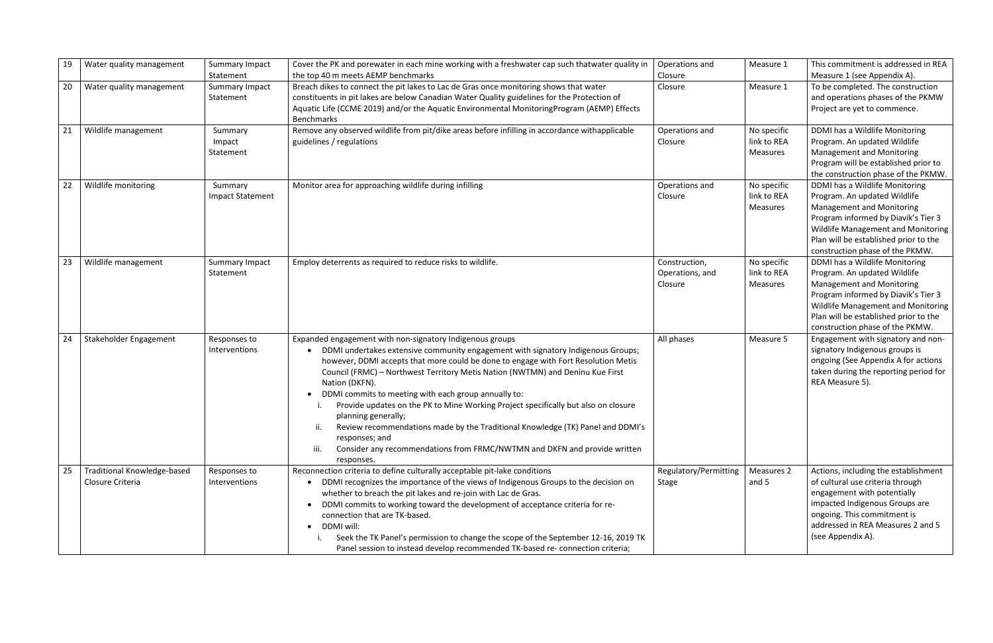| 19 | Water quality management                               | Summary Impact<br>Statement        | Cover the PK and porewater in each mine working with a freshwater cap such thatwater quality in<br>the top 40 m meets AEMP benchmarks                                                                                                                                                                                                                                                                                                                                                                                                                                                                                                                                                                                     | Operations and<br>Closure                   | Measure 1                                     | This commitment is addressed in REA<br>Measure 1 (see Appendix A).                                                                                                                                                                                          |
|----|--------------------------------------------------------|------------------------------------|---------------------------------------------------------------------------------------------------------------------------------------------------------------------------------------------------------------------------------------------------------------------------------------------------------------------------------------------------------------------------------------------------------------------------------------------------------------------------------------------------------------------------------------------------------------------------------------------------------------------------------------------------------------------------------------------------------------------------|---------------------------------------------|-----------------------------------------------|-------------------------------------------------------------------------------------------------------------------------------------------------------------------------------------------------------------------------------------------------------------|
| 20 | Water quality management                               | Summary Impact<br>Statement        | Breach dikes to connect the pit lakes to Lac de Gras once monitoring shows that water<br>constituents in pit lakes are below Canadian Water Quality guidelines for the Protection of<br>Aquatic Life (CCME 2019) and/or the Aquatic Environmental MonitoringProgram (AEMP) Effects<br>Benchmarks                                                                                                                                                                                                                                                                                                                                                                                                                          | Closure                                     | Measure 1                                     | To be completed. The construction<br>and operations phases of the PKMW<br>Project are yet to commence.                                                                                                                                                      |
| 21 | Wildlife management                                    | Summary<br>Impact<br>Statement     | Remove any observed wildlife from pit/dike areas before infilling in accordance withapplicable<br>guidelines / regulations                                                                                                                                                                                                                                                                                                                                                                                                                                                                                                                                                                                                | Operations and<br>Closure                   | No specific<br>link to REA<br><b>Measures</b> | DDMI has a Wildlife Monitoring<br>Program. An updated Wildlife<br><b>Management and Monitoring</b><br>Program will be established prior to<br>the construction phase of the PKMW.                                                                           |
| 22 | Wildlife monitoring                                    | Summary<br><b>Impact Statement</b> | Monitor area for approaching wildlife during infilling                                                                                                                                                                                                                                                                                                                                                                                                                                                                                                                                                                                                                                                                    | Operations and<br>Closure                   | No specific<br>link to REA<br>Measures        | DDMI has a Wildlife Monitoring<br>Program. An updated Wildlife<br><b>Management and Monitoring</b><br>Program informed by Diavik's Tier 3<br>Wildlife Management and Monitoring<br>Plan will be established prior to the<br>construction phase of the PKMW. |
| 23 | Wildlife management                                    | Summary Impact<br>Statement        | Employ deterrents as required to reduce risks to wildlife.                                                                                                                                                                                                                                                                                                                                                                                                                                                                                                                                                                                                                                                                | Construction,<br>Operations, and<br>Closure | No specific<br>link to REA<br>Measures        | DDMI has a Wildlife Monitoring<br>Program. An updated Wildlife<br>Management and Monitoring<br>Program informed by Diavik's Tier 3<br>Wildlife Management and Monitoring<br>Plan will be established prior to the<br>construction phase of the PKMW.        |
| 24 | Stakeholder Engagement                                 | Responses to<br>Interventions      | Expanded engagement with non-signatory Indigenous groups<br>DDMI undertakes extensive community engagement with signatory Indigenous Groups;<br>however, DDMI accepts that more could be done to engage with Fort Resolution Metis<br>Council (FRMC) - Northwest Territory Metis Nation (NWTMN) and Deninu Kue First<br>Nation (DKFN).<br>DDMI commits to meeting with each group annually to:<br>Provide updates on the PK to Mine Working Project specifically but also on closure<br>planning generally;<br>Review recommendations made by the Traditional Knowledge (TK) Panel and DDMI's<br>ii.<br>responses; and<br>iii.<br>Consider any recommendations from FRMC/NWTMN and DKFN and provide written<br>responses. | All phases                                  | Measure 5                                     | Engagement with signatory and non-<br>signatory Indigenous groups is<br>ongoing (See Appendix A for actions<br>taken during the reporting period for<br>REA Measure 5).                                                                                     |
| 25 | <b>Traditional Knowledge-based</b><br>Closure Criteria | Responses to<br>Interventions      | Reconnection criteria to define culturally acceptable pit-lake conditions<br>DDMI recognizes the importance of the views of Indigenous Groups to the decision on<br>whether to breach the pit lakes and re-join with Lac de Gras.<br>DDMI commits to working toward the development of acceptance criteria for re-<br>connection that are TK-based.<br>DDMI will:<br>$\bullet$<br>Seek the TK Panel's permission to change the scope of the September 12-16, 2019 TK<br>Panel session to instead develop recommended TK-based re-connection criteria;                                                                                                                                                                     | Regulatory/Permitting<br><b>Stage</b>       | Measures 2<br>and 5                           | Actions, including the establishment<br>of cultural use criteria through<br>engagement with potentially<br>impacted Indigenous Groups are<br>ongoing. This commitment is<br>addressed in REA Measures 2 and 5<br>(see Appendix A).                          |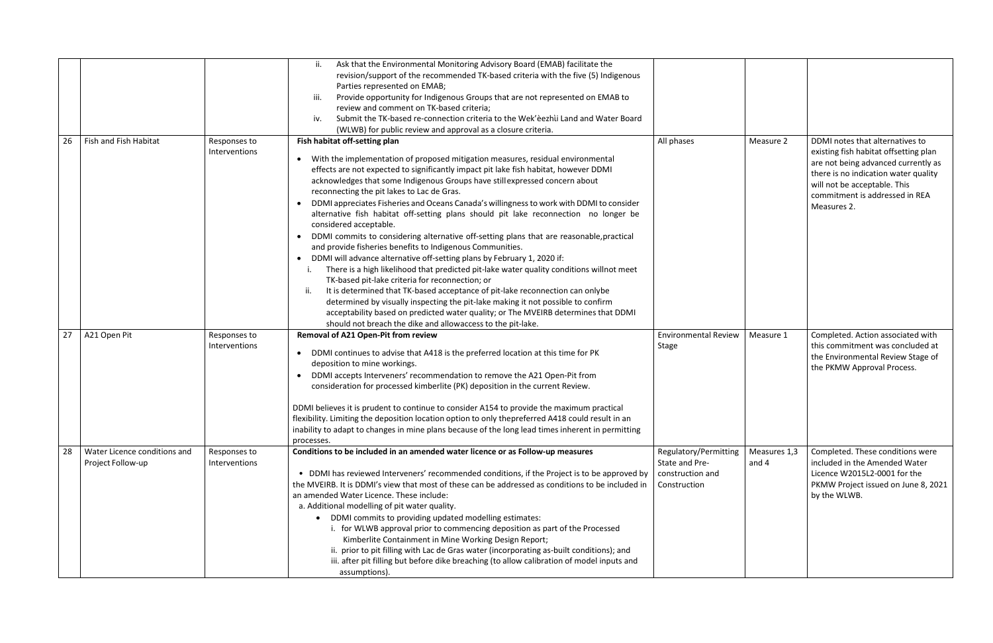|    |                                                   |                               | Ask that the Environmental Monitoring Advisory Board (EMAB) facilitate the<br>revision/support of the recommended TK-based criteria with the five (5) Indigenous<br>Parties represented on EMAB;<br>iii.<br>Provide opportunity for Indigenous Groups that are not represented on EMAB to<br>review and comment on TK-based criteria;<br>Submit the TK-based re-connection criteria to the Wek'eezhli Land and Water Board<br>iv.<br>(WLWB) for public review and approval as a closure criteria.                                                                                                                                                                                                                                                                                                                                                                                                                                                                                                                                                                                                                                                                                                                                                                                                        |                                                                             |                       |                                                                                                                                                                                                                                          |
|----|---------------------------------------------------|-------------------------------|----------------------------------------------------------------------------------------------------------------------------------------------------------------------------------------------------------------------------------------------------------------------------------------------------------------------------------------------------------------------------------------------------------------------------------------------------------------------------------------------------------------------------------------------------------------------------------------------------------------------------------------------------------------------------------------------------------------------------------------------------------------------------------------------------------------------------------------------------------------------------------------------------------------------------------------------------------------------------------------------------------------------------------------------------------------------------------------------------------------------------------------------------------------------------------------------------------------------------------------------------------------------------------------------------------|-----------------------------------------------------------------------------|-----------------------|------------------------------------------------------------------------------------------------------------------------------------------------------------------------------------------------------------------------------------------|
| 26 | Fish and Fish Habitat                             | Responses to<br>Interventions | Fish habitat off-setting plan<br>• With the implementation of proposed mitigation measures, residual environmental<br>effects are not expected to significantly impact pit lake fish habitat, however DDMI<br>acknowledges that some Indigenous Groups have stillexpressed concern about<br>reconnecting the pit lakes to Lac de Gras.<br>DDMI appreciates Fisheries and Oceans Canada's willingness to work with DDMI to consider<br>$\bullet$<br>alternative fish habitat off-setting plans should pit lake reconnection no longer be<br>considered acceptable.<br>DDMI commits to considering alternative off-setting plans that are reasonable, practical<br>$\bullet$<br>and provide fisheries benefits to Indigenous Communities.<br>DDMI will advance alternative off-setting plans by February 1, 2020 if:<br>$\bullet$<br>There is a high likelihood that predicted pit-lake water quality conditions willnot meet<br>TK-based pit-lake criteria for reconnection; or<br>It is determined that TK-based acceptance of pit-lake reconnection can onlybe<br>determined by visually inspecting the pit-lake making it not possible to confirm<br>acceptability based on predicted water quality; or The MVEIRB determines that DDMI<br>should not breach the dike and allowaccess to the pit-lake. | All phases                                                                  | Measure 2             | DDMI notes that alternatives to<br>existing fish habitat offsetting plan<br>are not being advanced currently as<br>there is no indication water quality<br>will not be acceptable. This<br>commitment is addressed in REA<br>Measures 2. |
| 27 | A21 Open Pit                                      | Responses to<br>Interventions | Removal of A21 Open-Pit from review<br>DDMI continues to advise that A418 is the preferred location at this time for PK<br>deposition to mine workings.<br>DDMI accepts Interveners' recommendation to remove the A21 Open-Pit from<br>$\bullet$<br>consideration for processed kimberlite (PK) deposition in the current Review.<br>DDMI believes it is prudent to continue to consider A154 to provide the maximum practical<br>flexibility. Limiting the deposition location option to only thepreferred A418 could result in an<br>inability to adapt to changes in mine plans because of the long lead times inherent in permitting<br>processes.                                                                                                                                                                                                                                                                                                                                                                                                                                                                                                                                                                                                                                                   | <b>Environmental Review</b><br>Stage                                        | Measure 1             | Completed. Action associated with<br>this commitment was concluded at<br>the Environmental Review Stage of<br>the PKMW Approval Process.                                                                                                 |
| 28 | Water Licence conditions and<br>Project Follow-up | Responses to<br>Interventions | Conditions to be included in an amended water licence or as Follow-up measures<br>• DDMI has reviewed Interveners' recommended conditions, if the Project is to be approved by<br>the MVEIRB. It is DDMI's view that most of these can be addressed as conditions to be included in<br>an amended Water Licence. These include:<br>a. Additional modelling of pit water quality.<br>• DDMI commits to providing updated modelling estimates:<br>i. for WLWB approval prior to commencing deposition as part of the Processed<br>Kimberlite Containment in Mine Working Design Report;<br>ii. prior to pit filling with Lac de Gras water (incorporating as-built conditions); and<br>iii. after pit filling but before dike breaching (to allow calibration of model inputs and<br>assumptions).                                                                                                                                                                                                                                                                                                                                                                                                                                                                                                         | Regulatory/Permitting<br>State and Pre-<br>construction and<br>Construction | Measures 1,3<br>and 4 | Completed. These conditions were<br>included in the Amended Water<br>Licence W2015L2-0001 for the<br>PKMW Project issued on June 8, 2021<br>by the WLWB.                                                                                 |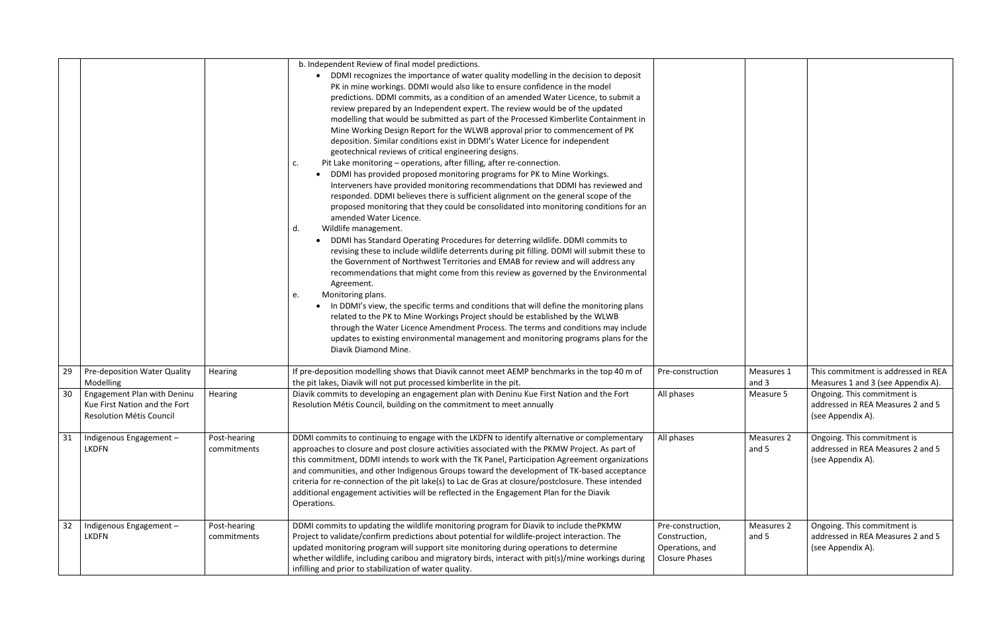|    |                                                                                                 |                             | b. Independent Review of final model predictions.<br>DDMI recognizes the importance of water quality modelling in the decision to deposit<br>$\bullet$<br>PK in mine workings. DDMI would also like to ensure confidence in the model<br>predictions. DDMI commits, as a condition of an amended Water Licence, to submit a<br>review prepared by an Independent expert. The review would be of the updated<br>modelling that would be submitted as part of the Processed Kimberlite Containment in<br>Mine Working Design Report for the WLWB approval prior to commencement of PK<br>deposition. Similar conditions exist in DDMI's Water Licence for independent<br>geotechnical reviews of critical engineering designs.<br>Pit Lake monitoring - operations, after filling, after re-connection.<br>c.<br>DDMI has provided proposed monitoring programs for PK to Mine Workings.<br>Interveners have provided monitoring recommendations that DDMI has reviewed and<br>responded. DDMI believes there is sufficient alignment on the general scope of the<br>proposed monitoring that they could be consolidated into monitoring conditions for an<br>amended Water Licence.<br>Wildlife management.<br>d.<br>DDMI has Standard Operating Procedures for deterring wildlife. DDMI commits to<br>revising these to include wildlife deterrents during pit filling. DDMI will submit these to<br>the Government of Northwest Territories and EMAB for review and will address any<br>recommendations that might come from this review as governed by the Environmental<br>Agreement.<br>Monitoring plans.<br>e.<br>In DDMI's view, the specific terms and conditions that will define the monitoring plans<br>related to the PK to Mine Workings Project should be established by the WLWB<br>through the Water Licence Amendment Process. The terms and conditions may include<br>updates to existing environmental management and monitoring programs plans for the<br>Diavik Diamond Mine. |                                                                                |                     |
|----|-------------------------------------------------------------------------------------------------|-----------------------------|---------------------------------------------------------------------------------------------------------------------------------------------------------------------------------------------------------------------------------------------------------------------------------------------------------------------------------------------------------------------------------------------------------------------------------------------------------------------------------------------------------------------------------------------------------------------------------------------------------------------------------------------------------------------------------------------------------------------------------------------------------------------------------------------------------------------------------------------------------------------------------------------------------------------------------------------------------------------------------------------------------------------------------------------------------------------------------------------------------------------------------------------------------------------------------------------------------------------------------------------------------------------------------------------------------------------------------------------------------------------------------------------------------------------------------------------------------------------------------------------------------------------------------------------------------------------------------------------------------------------------------------------------------------------------------------------------------------------------------------------------------------------------------------------------------------------------------------------------------------------------------------------------------------------------------------------------------------------------------------------------|--------------------------------------------------------------------------------|---------------------|
| 29 | Pre-deposition Water Quality<br>Modelling                                                       | Hearing                     | If pre-deposition modelling shows that Diavik cannot meet AEMP benchmarks in the top 40 m of<br>the pit lakes, Diavik will not put processed kimberlite in the pit.                                                                                                                                                                                                                                                                                                                                                                                                                                                                                                                                                                                                                                                                                                                                                                                                                                                                                                                                                                                                                                                                                                                                                                                                                                                                                                                                                                                                                                                                                                                                                                                                                                                                                                                                                                                                                               | Pre-construction                                                               | Measures 1<br>and 3 |
| 30 | <b>Engagement Plan with Deninu</b><br>Kue First Nation and the Fort<br>Resolution Métis Council | Hearing                     | Diavik commits to developing an engagement plan with Deninu Kue First Nation and the Fort<br>Resolution Métis Council, building on the commitment to meet annually                                                                                                                                                                                                                                                                                                                                                                                                                                                                                                                                                                                                                                                                                                                                                                                                                                                                                                                                                                                                                                                                                                                                                                                                                                                                                                                                                                                                                                                                                                                                                                                                                                                                                                                                                                                                                                | All phases                                                                     | Measure 5           |
| 31 | Indigenous Engagement-<br><b>LKDFN</b>                                                          | Post-hearing<br>commitments | DDMI commits to continuing to engage with the LKDFN to identify alternative or complementary<br>approaches to closure and post closure activities associated with the PKMW Project. As part of<br>this commitment, DDMI intends to work with the TK Panel, Participation Agreement organizations<br>and communities, and other Indigenous Groups toward the development of TK-based acceptance<br>criteria for re-connection of the pit lake(s) to Lac de Gras at closure/postclosure. These intended<br>additional engagement activities will be reflected in the Engagement Plan for the Diavik<br>Operations.                                                                                                                                                                                                                                                                                                                                                                                                                                                                                                                                                                                                                                                                                                                                                                                                                                                                                                                                                                                                                                                                                                                                                                                                                                                                                                                                                                                  | All phases                                                                     | Measures 2<br>and 5 |
| 32 | Indigenous Engagement-<br><b>LKDFN</b>                                                          | Post-hearing<br>commitments | DDMI commits to updating the wildlife monitoring program for Diavik to include thePKMW<br>Project to validate/confirm predictions about potential for wildlife-project interaction. The<br>updated monitoring program will support site monitoring during operations to determine<br>whether wildlife, including caribou and migratory birds, interact with pit(s)/mine workings during<br>infilling and prior to stabilization of water quality.                                                                                                                                                                                                                                                                                                                                                                                                                                                                                                                                                                                                                                                                                                                                                                                                                                                                                                                                                                                                                                                                                                                                                                                                                                                                                                                                                                                                                                                                                                                                                 | Pre-construction,<br>Construction,<br>Operations, and<br><b>Closure Phases</b> | Measures 2<br>and 5 |

| Pre-construction                                                               | Measures 1<br>and 3 | This commitment is addressed in REA<br>Measures 1 and 3 (see Appendix A).             |
|--------------------------------------------------------------------------------|---------------------|---------------------------------------------------------------------------------------|
| All phases                                                                     | Measure 5           | Ongoing. This commitment is<br>addressed in REA Measures 2 and 5<br>(see Appendix A). |
| All phases                                                                     | Measures 2<br>and 5 | Ongoing. This commitment is<br>addressed in REA Measures 2 and 5<br>(see Appendix A). |
| Pre-construction,<br>Construction,<br>Operations, and<br><b>Closure Phases</b> | Measures 2<br>and 5 | Ongoing. This commitment is<br>addressed in REA Measures 2 and 5<br>(see Appendix A). |